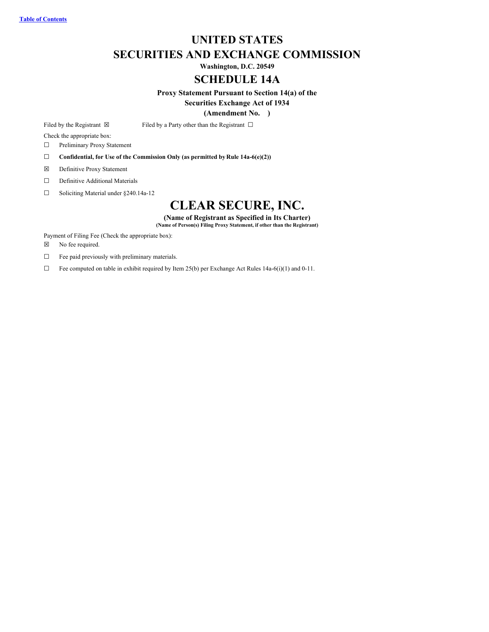# <span id="page-0-0"></span>**UNITED STATES SECURITIES AND EXCHANGE COMMISSION**

**Washington, D.C. 20549**

# **SCHEDULE 14A**

**Proxy Statement Pursuant to Section 14(a) of the**

**Securities Exchange Act of 1934**

**(Amendment No. )**

Filed by the Registrant  $\boxtimes$  Filed by a Party other than the Registrant  $\Box$ 

Check the appropriate box:

☐ Preliminary Proxy Statement

☐ **Confidential, for Use of the Commission Only (as permitted by Rule 14a-6(e)(2))**

☒ Definitive Proxy Statement

☐ Definitive Additional Materials

☐ Soliciting Material under §240.14a-12

# **CLEAR SECURE, INC.**

**(Name of Registrant as Specified in Its Charter) (Name of Person(s) Filing Proxy Statement, if other than the Registrant)**

Payment of Filing Fee (Check the appropriate box):

☒ No fee required.

 $\Box$  Fee paid previously with preliminary materials.

 $\Box$  Fee computed on table in exhibit required by Item 25(b) per Exchange Act Rules 14a-6(i)(1) and 0-11.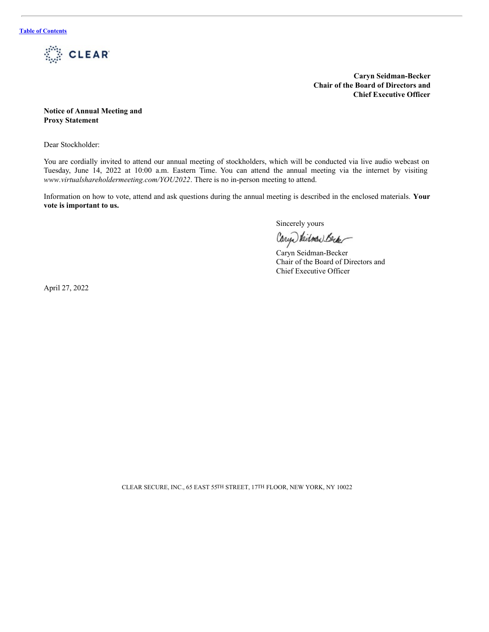

**Caryn Seidman-Becker Chair of the Board of Directors and Chief Executive Officer**

**Notice of Annual Meeting and Proxy Statement**

Dear Stockholder:

You are cordially invited to attend our annual meeting of stockholders, which will be conducted via live audio webcast on Tuesday, June 14, 2022 at 10:00 a.m. Eastern Time. You can attend the annual meeting via the internet by visiting *www.virtualshareholdermeeting.com/YOU2022*. There is no in-person meeting to attend.

Information on how to vote, attend and ask questions during the annual meeting is described in the enclosed materials. **Your vote is important to us.**

Sincerely yours

Cary Neidman Becker

Caryn Seidman-Becker Chair of the Board of Directors and Chief Executive Officer

April 27, 2022

CLEAR SECURE, INC., 65 EAST 55TH STREET, 17TH FLOOR, NEW YORK, NY 10022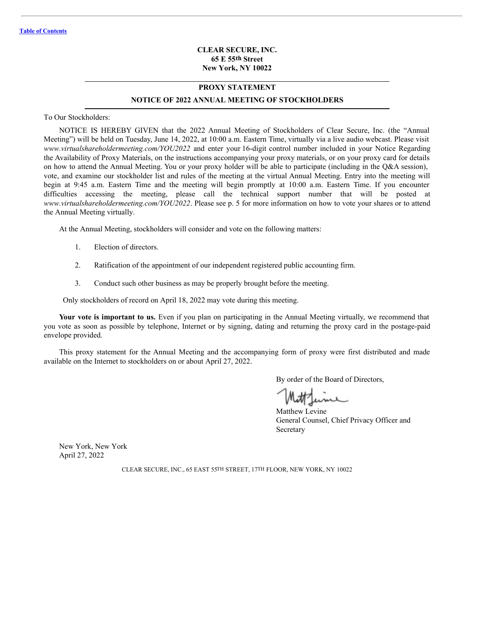# **CLEAR SECURE, INC. 65 E 55th Street New York, NY 10022**

# **PROXY STATEMENT**

# **NOTICE OF 2022 ANNUAL MEETING OF STOCKHOLDERS**

To Our Stockholders:

NOTICE IS HEREBY GIVEN that the 2022 Annual Meeting of Stockholders of Clear Secure, Inc. (the "Annual Meeting") will be held on Tuesday, June 14, 2022, at 10:00 a.m. Eastern Time, virtually via a live audio webcast. Please visit *www.virtualshareholdermeeting.com/YOU2022* and enter your 16-digit control number included in your Notice Regarding the Availability of Proxy Materials, on the instructions accompanying your proxy materials, or on your proxy card for details on how to attend the Annual Meeting. You or your proxy holder will be able to participate (including in the Q&A session), vote, and examine our stockholder list and rules of the meeting at the virtual Annual Meeting. Entry into the meeting will begin at 9:45 a.m. Eastern Time and the meeting will begin promptly at 10:00 a.m. Eastern Time. If you encounter difficulties accessing the meeting, please call the technical support number that will be posted at *www.virtualshareholdermeeting.com/YOU2022*. Please see p. 5 for more information on how to vote your shares or to attend the Annual Meeting virtually.

At the Annual Meeting, stockholders will consider and vote on the following matters:

- 1. Election of directors.
- 2. Ratification of the appointment of our independent registered public accounting firm.
- 3. Conduct such other business as may be properly brought before the meeting.

Only stockholders of record on April 18, 2022 may vote during this meeting.

**Your vote is important to us.** Even if you plan on participating in the Annual Meeting virtually, we recommend that you vote as soon as possible by telephone, Internet or by signing, dating and returning the proxy card in the postage-paid envelope provided.

This proxy statement for the Annual Meeting and the accompanying form of proxy were first distributed and made available on the Internet to stockholders on or about April 27, 2022.

By order of the Board of Directors,

ume

Matthew Levine General Counsel, Chief Privacy Officer and Secretary

New York, New York April 27, 2022

CLEAR SECURE, INC., 65 EAST 55TH STREET, 17TH FLOOR, NEW YORK, NY 10022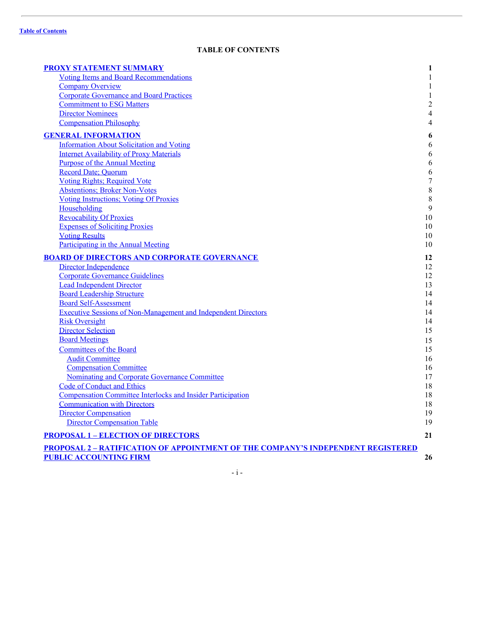# <span id="page-3-0"></span>**TABLE OF CONTENTS**

| <b>PROXY STATEMENT SUMMARY</b>                                                          | 1                       |
|-----------------------------------------------------------------------------------------|-------------------------|
| <b>Voting Items and Board Recommendations</b>                                           | $\mathbf{1}$            |
| <b>Company Overview</b>                                                                 | $\mathbf{1}$            |
| <b>Corporate Governance and Board Practices</b>                                         | $\mathbf{1}$            |
| <b>Commitment to ESG Matters</b>                                                        | $\overline{c}$          |
| <b>Director Nominees</b>                                                                | $\overline{\mathbf{4}}$ |
| <b>Compensation Philosophy</b>                                                          | $\overline{4}$          |
| <b>GENERAL INFORMATION</b>                                                              | 6                       |
| <b>Information About Solicitation and Voting</b>                                        | 6                       |
| <b>Internet Availability of Proxy Materials</b>                                         | 6                       |
| <b>Purpose of the Annual Meeting</b>                                                    | 6                       |
| <b>Record Date; Quorum</b>                                                              | 6                       |
| <b>Voting Rights; Required Vote</b>                                                     | $\overline{7}$          |
| <b>Abstentions</b> ; Broker Non-Votes                                                   | $\,$ 8 $\,$             |
| <b>Voting Instructions; Voting Of Proxies</b>                                           | 8                       |
| Householding                                                                            | 9                       |
| <b>Revocability Of Proxies</b>                                                          | 10                      |
| <b>Expenses of Soliciting Proxies</b>                                                   | $10\,$                  |
| <b>Voting Results</b>                                                                   | 10                      |
| Participating in the Annual Meeting                                                     | 10                      |
| <b>BOARD OF DIRECTORS AND CORPORATE GOVERNANCE</b>                                      | 12                      |
| Director Independence                                                                   | 12                      |
| <b>Corporate Governance Guidelines</b>                                                  | 12                      |
| <b>Lead Independent Director</b>                                                        | 13                      |
| <b>Board Leadership Structure</b>                                                       | 14                      |
| <b>Board Self-Assessment</b>                                                            | 14                      |
| <b>Executive Sessions of Non-Management and Independent Directors</b>                   | 14                      |
| <b>Risk Oversight</b>                                                                   | 14                      |
| <b>Director Selection</b>                                                               | 15                      |
| <b>Board Meetings</b>                                                                   | 15                      |
| <b>Committees of the Board</b>                                                          | 15                      |
| <b>Audit Committee</b>                                                                  | 16                      |
| <b>Compensation Committee</b>                                                           | 16                      |
| <b>Nominating and Corporate Governance Committee</b>                                    | 17                      |
| <b>Code of Conduct and Ethics</b>                                                       | 18                      |
| <b>Compensation Committee Interlocks and Insider Participation</b>                      | 18                      |
| <b>Communication with Directors</b>                                                     | 18                      |
| <b>Director Compensation</b>                                                            | 19                      |
| <b>Director Compensation Table</b>                                                      | 19                      |
| <b>PROPOSAL 1 - ELECTION OF DIRECTORS</b>                                               | 21                      |
| <b>PROPOSAL 2 - RATIFICATION OF APPOINTMENT OF THE COMPANY'S INDEPENDENT REGISTERED</b> |                         |
| <b>PUBLIC ACCOUNTING FIRM</b>                                                           | 26                      |
|                                                                                         |                         |

- i -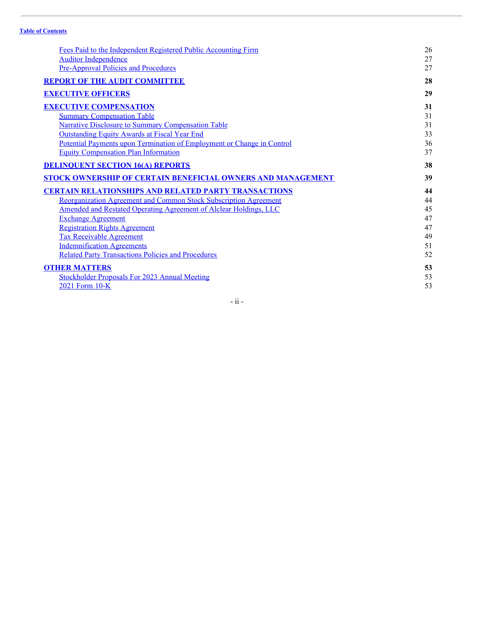# **Table of [Contents](#page-3-0)**

| Fees Paid to the Independent Registered Public Accounting Firm           | 26 |
|--------------------------------------------------------------------------|----|
| <b>Auditor Independence</b>                                              | 27 |
| <b>Pre-Approval Policies and Procedures</b>                              | 27 |
| <b>REPORT OF THE AUDIT COMMITTEE</b>                                     | 28 |
| <b>EXECUTIVE OFFICERS</b>                                                | 29 |
| <b>EXECUTIVE COMPENSATION</b>                                            | 31 |
| <b>Summary Compensation Table</b>                                        | 31 |
| <b>Narrative Disclosure to Summary Compensation Table</b>                | 31 |
| <b>Outstanding Equity Awards at Fiscal Year End</b>                      | 33 |
| Potential Payments upon Termination of Employment or Change in Control   | 36 |
| <b>Equity Compensation Plan Information</b>                              | 37 |
| <b>DELINQUENT SECTION 16(A) REPORTS</b>                                  | 38 |
| <b>STOCK OWNERSHIP OF CERTAIN BENEFICIAL OWNERS AND MANAGEMENT</b>       | 39 |
| <b>CERTAIN RELATIONSHIPS AND RELATED PARTY TRANSACTIONS</b>              | 44 |
| Reorganization Agreement and Common Stock Subscription Agreement         | 44 |
| <b>Amended and Restated Operating Agreement of Alclear Holdings, LLC</b> | 45 |
|                                                                          | 47 |
| <b>Exchange Agreement</b>                                                |    |
| <b>Registration Rights Agreement</b>                                     | 47 |
| <b>Tax Receivable Agreement</b>                                          | 49 |
| <b>Indemnification Agreements</b>                                        | 51 |
| <b>Related Party Transactions Policies and Procedures</b>                | 52 |
| <b>OTHER MATTERS</b>                                                     | 53 |
| <b>Stockholder Proposals For 2023 Annual Meeting</b>                     | 53 |

- ii -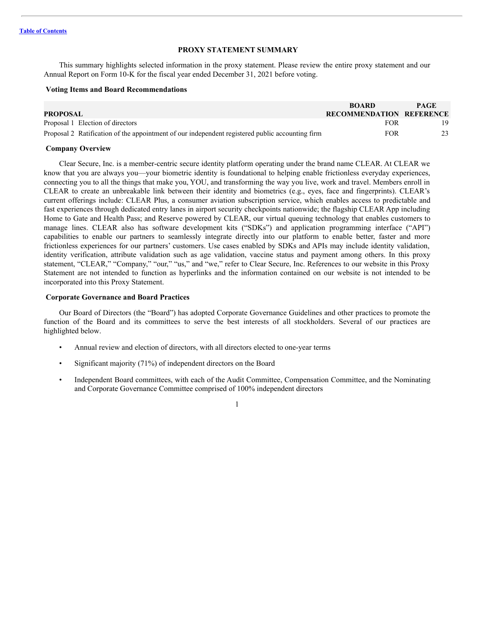#### <span id="page-5-0"></span>**PROXY STATEMENT SUMMARY**

This summary highlights selected information in the proxy statement. Please review the entire proxy statement and our Annual Report on Form 10-K for the fiscal year ended December 31, 2021 before voting.

#### <span id="page-5-1"></span>**Voting Items and Board Recommendations**

|                                                                                                 | <b>BOARD</b>                    | <b>PAGE</b> |
|-------------------------------------------------------------------------------------------------|---------------------------------|-------------|
| <b>PROPOSAL</b>                                                                                 | <b>RECOMMENDATION REFERENCE</b> |             |
| Proposal 1 Election of directors                                                                | FOR                             |             |
| Proposal 2 Ratification of the appointment of our independent registered public accounting firm | <b>FOR</b>                      | 23          |

## <span id="page-5-2"></span>**Company Overview**

Clear Secure, Inc. is a member-centric secure identity platform operating under the brand name CLEAR. At CLEAR we know that you are always you—your biometric identity is foundational to helping enable frictionless everyday experiences, connecting you to all the things that make you, YOU, and transforming the way you live, work and travel. Members enroll in CLEAR to create an unbreakable link between their identity and biometrics (e.g., eyes, face and fingerprints). CLEAR's current offerings include: CLEAR Plus, a consumer aviation subscription service, which enables access to predictable and fast experiences through dedicated entry lanes in airport security checkpoints nationwide; the flagship CLEAR App including Home to Gate and Health Pass; and Reserve powered by CLEAR, our virtual queuing technology that enables customers to manage lines. CLEAR also has software development kits ("SDKs") and application programming interface ("API") capabilities to enable our partners to seamlessly integrate directly into our platform to enable better, faster and more frictionless experiences for our partners' customers. Use cases enabled by SDKs and APIs may include identity validation, identity verification, attribute validation such as age validation, vaccine status and payment among others. In this proxy statement, "CLEAR," "Company," "our," "us," and "we," refer to Clear Secure, Inc. References to our website in this Proxy Statement are not intended to function as hyperlinks and the information contained on our website is not intended to be incorporated into this Proxy Statement.

## <span id="page-5-3"></span>**Corporate Governance and Board Practices**

Our Board of Directors (the "Board") has adopted Corporate Governance Guidelines and other practices to promote the function of the Board and its committees to serve the best interests of all stockholders. Several of our practices are highlighted below.

- Annual review and election of directors, with all directors elected to one-year terms
- Significant majority (71%) of independent directors on the Board
- Independent Board committees, with each of the Audit Committee, Compensation Committee, and the Nominating and Corporate Governance Committee comprised of 100% independent directors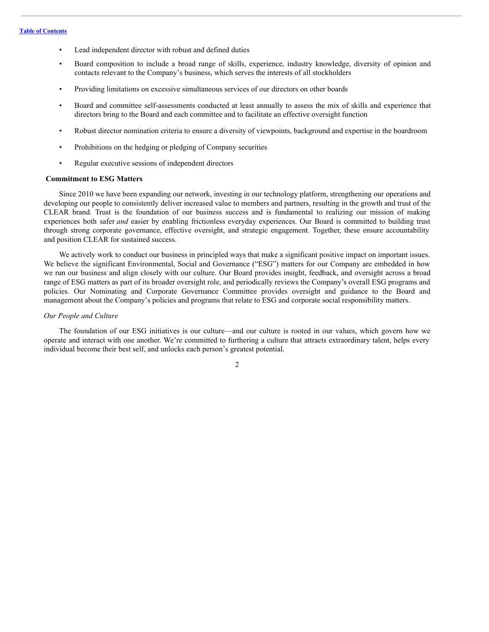- Lead independent director with robust and defined duties
- Board composition to include a broad range of skills, experience, industry knowledge, diversity of opinion and contacts relevant to the Company's business, which serves the interests of all stockholders
- Providing limitations on excessive simultaneous services of our directors on other boards
- Board and committee self-assessments conducted at least annually to assess the mix of skills and experience that directors bring to the Board and each committee and to facilitate an effective oversight function
- Robust director nomination criteria to ensure a diversity of viewpoints, background and expertise in the boardroom
- Prohibitions on the hedging or pledging of Company securities
- Regular executive sessions of independent directors

## <span id="page-6-0"></span>**Commitment to ESG Matters**

Since 2010 we have been expanding our network, investing in our technology platform, strengthening our operations and developing our people to consistently deliver increased value to members and partners, resulting in the growth and trust of the CLEAR brand. Trust is the foundation of our business success and is fundamental to realizing our mission of making experiences both safer *and* easier by enabling frictionless everyday experiences. Our Board is committed to building trust through strong corporate governance, effective oversight, and strategic engagement. Together, these ensure accountability and position CLEAR for sustained success.

We actively work to conduct our business in principled ways that make a significant positive impact on important issues. We believe the significant Environmental, Social and Governance ("ESG") matters for our Company are embedded in how we run our business and align closely with our culture. Our Board provides insight, feedback, and oversight across a broad range of ESG matters as part of its broader oversight role, and periodically reviews the Company's overall ESG programs and policies. Our Nominating and Corporate Governance Committee provides oversight and guidance to the Board and management about the Company's policies and programs that relate to ESG and corporate social responsibility matters.

#### *Our People and Culture*

The foundation of our ESG initiatives is our culture—and our culture is rooted in our values, which govern how we operate and interact with one another. We're committed to furthering a culture that attracts extraordinary talent, helps every individual become their best self, and unlocks each person's greatest potential.

 $\mathfrak{D}$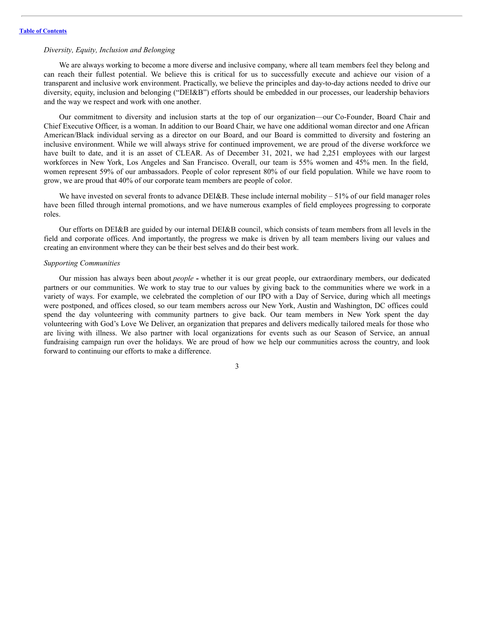#### *Diversity, Equity, Inclusion and Belonging*

We are always working to become a more diverse and inclusive company, where all team members feel they belong and can reach their fullest potential. We believe this is critical for us to successfully execute and achieve our vision of a transparent and inclusive work environment. Practically, we believe the principles and day-to-day actions needed to drive our diversity, equity, inclusion and belonging ("DEI&B") efforts should be embedded in our processes, our leadership behaviors and the way we respect and work with one another.

Our commitment to diversity and inclusion starts at the top of our organization—our Co-Founder, Board Chair and Chief Executive Officer, is a woman. In addition to our Board Chair, we have one additional woman director and one African American/Black individual serving as a director on our Board, and our Board is committed to diversity and fostering an inclusive environment. While we will always strive for continued improvement, we are proud of the diverse workforce we have built to date, and it is an asset of CLEAR. As of December 31, 2021, we had 2,251 employees with our largest workforces in New York, Los Angeles and San Francisco. Overall, our team is 55% women and 45% men. In the field, women represent 59% of our ambassadors. People of color represent 80% of our field population. While we have room to grow, we are proud that 40% of our corporate team members are people of color.

We have invested on several fronts to advance DEI&B. These include internal mobility – 51% of our field manager roles have been filled through internal promotions, and we have numerous examples of field employees progressing to corporate roles.

Our efforts on DEI&B are guided by our internal DEI&B council, which consists of team members from all levels in the field and corporate offices. And importantly, the progress we make is driven by all team members living our values and creating an environment where they can be their best selves and do their best work.

## *Supporting Communities*

Our mission has always been about *people -* whether it is our great people, our extraordinary members, our dedicated partners or our communities. We work to stay true to our values by giving back to the communities where we work in a variety of ways. For example, we celebrated the completion of our IPO with a Day of Service, during which all meetings were postponed, and offices closed, so our team members across our New York, Austin and Washington, DC offices could spend the day volunteering with community partners to give back. Our team members in New York spent the day volunteering with God's Love We Deliver, an organization that prepares and delivers medically tailored meals for those who are living with illness. We also partner with local organizations for events such as our Season of Service, an annual fundraising campaign run over the holidays. We are proud of how we help our communities across the country, and look forward to continuing our efforts to make a difference.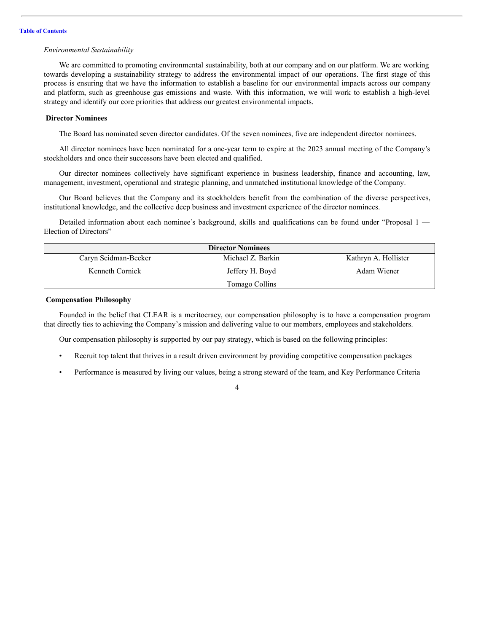#### *Environmental Sustainability*

We are committed to promoting environmental sustainability, both at our company and on our platform. We are working towards developing a sustainability strategy to address the environmental impact of our operations. The first stage of this process is ensuring that we have the information to establish a baseline for our environmental impacts across our company and platform, such as greenhouse gas emissions and waste. With this information, we will work to establish a high-level strategy and identify our core priorities that address our greatest environmental impacts.

#### <span id="page-8-0"></span>**Director Nominees**

The Board has nominated seven director candidates. Of the seven nominees, five are independent director nominees.

All director nominees have been nominated for a one-year term to expire at the 2023 annual meeting of the Company's stockholders and once their successors have been elected and qualified.

Our director nominees collectively have significant experience in business leadership, finance and accounting, law, management, investment, operational and strategic planning, and unmatched institutional knowledge of the Company.

Our Board believes that the Company and its stockholders benefit from the combination of the diverse perspectives, institutional knowledge, and the collective deep business and investment experience of the director nominees.

Detailed information about each nominee's background, skills and qualifications can be found under "Proposal 1 — Election of Directors"

| <b>Director Nominees</b> |                   |                      |  |  |
|--------------------------|-------------------|----------------------|--|--|
| Caryn Seidman-Becker     | Michael Z. Barkin | Kathryn A. Hollister |  |  |
| Kenneth Cornick          | Jeffery H. Boyd   | Adam Wiener          |  |  |
|                          | Tomago Collins    |                      |  |  |

### <span id="page-8-1"></span>**Compensation Philosophy**

Founded in the belief that CLEAR is a meritocracy, our compensation philosophy is to have a compensation program that directly ties to achieving the Company's mission and delivering value to our members, employees and stakeholders.

Our compensation philosophy is supported by our pay strategy, which is based on the following principles:

- Recruit top talent that thrives in a result driven environment by providing competitive compensation packages
- Performance is measured by living our values, being a strong steward of the team, and Key Performance Criteria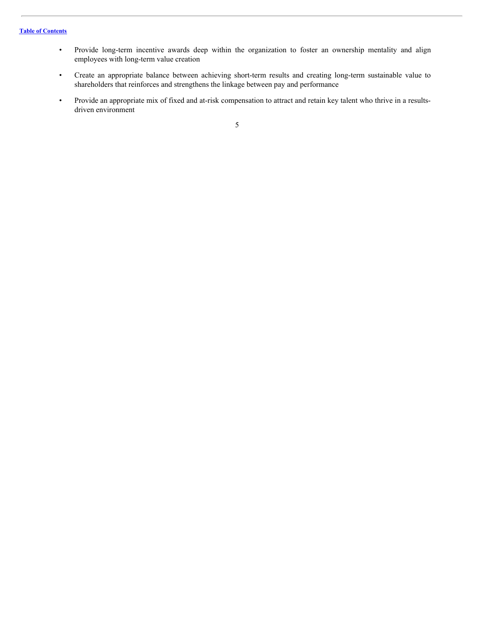- Provide long-term incentive awards deep within the organization to foster an ownership mentality and align employees with long-term value creation
- Create an appropriate balance between achieving short-term results and creating long-term sustainable value to shareholders that reinforces and strengthens the linkage between pay and performance
- Provide an appropriate mix of fixed and at-risk compensation to attract and retain key talent who thrive in a resultsdriven environment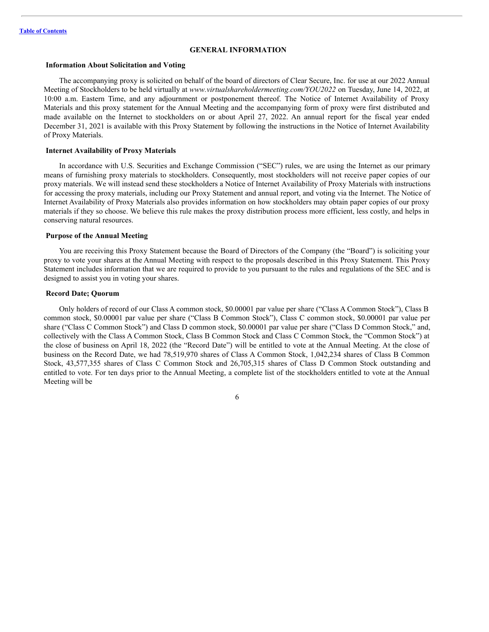#### <span id="page-10-0"></span>**GENERAL INFORMATION**

# <span id="page-10-1"></span>**Information About Solicitation and Voting**

The accompanying proxy is solicited on behalf of the board of directors of Clear Secure, Inc. for use at our 2022 Annual Meeting of Stockholders to be held virtually at *www.virtualshareholdermeeting.com/YOU2022* on Tuesday, June 14, 2022, at 10:00 a.m. Eastern Time, and any adjournment or postponement thereof. The Notice of Internet Availability of Proxy Materials and this proxy statement for the Annual Meeting and the accompanying form of proxy were first distributed and made available on the Internet to stockholders on or about April 27, 2022. An annual report for the fiscal year ended December 31, 2021 is available with this Proxy Statement by following the instructions in the Notice of Internet Availability of Proxy Materials.

### <span id="page-10-2"></span>**Internet Availability of Proxy Materials**

In accordance with U.S. Securities and Exchange Commission ("SEC") rules, we are using the Internet as our primary means of furnishing proxy materials to stockholders. Consequently, most stockholders will not receive paper copies of our proxy materials. We will instead send these stockholders a Notice of Internet Availability of Proxy Materials with instructions for accessing the proxy materials, including our Proxy Statement and annual report, and voting via the Internet. The Notice of Internet Availability of Proxy Materials also provides information on how stockholders may obtain paper copies of our proxy materials if they so choose. We believe this rule makes the proxy distribution process more efficient, less costly, and helps in conserving natural resources.

## <span id="page-10-3"></span>**Purpose of the Annual Meeting**

You are receiving this Proxy Statement because the Board of Directors of the Company (the "Board") is soliciting your proxy to vote your shares at the Annual Meeting with respect to the proposals described in this Proxy Statement. This Proxy Statement includes information that we are required to provide to you pursuant to the rules and regulations of the SEC and is designed to assist you in voting your shares.

## <span id="page-10-4"></span>**Record Date; Quorum**

Only holders of record of our Class A common stock, \$0.00001 par value per share ("Class A Common Stock"), Class B common stock, \$0.00001 par value per share ("Class B Common Stock"), Class C common stock, \$0.00001 par value per share ("Class C Common Stock") and Class D common stock, \$0.00001 par value per share ("Class D Common Stock," and, collectively with the Class A Common Stock, Class B Common Stock and Class C Common Stock, the "Common Stock") at the close of business on April 18, 2022 (the "Record Date") will be entitled to vote at the Annual Meeting. At the close of business on the Record Date, we had 78,519,970 shares of Class A Common Stock, 1,042,234 shares of Class B Common Stock, 43,577,355 shares of Class C Common Stock and 26,705,315 shares of Class D Common Stock outstanding and entitled to vote. For ten days prior to the Annual Meeting, a complete list of the stockholders entitled to vote at the Annual Meeting will be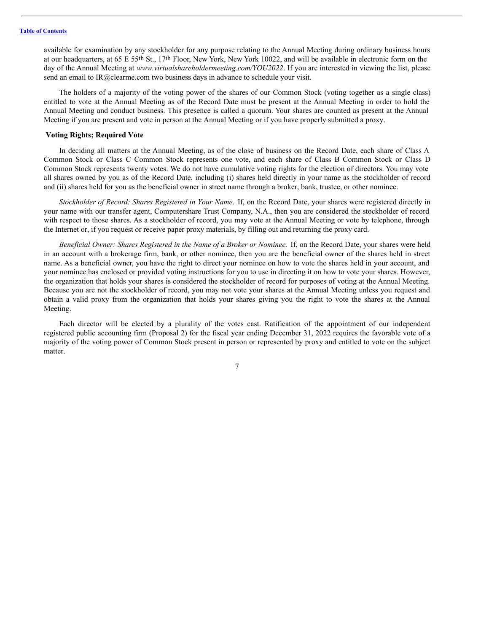available for examination by any stockholder for any purpose relating to the Annual Meeting during ordinary business hours at our headquarters, at 65 E 55th St., 17th Floor, New York, New York 10022, and will be available in electronic form on the day of the Annual Meeting at *www.virtualshareholdermeeting.com/YOU2022*. If you are interested in viewing the list, please send an email to IR@clearme.com two business days in advance to schedule your visit.

The holders of a majority of the voting power of the shares of our Common Stock (voting together as a single class) entitled to vote at the Annual Meeting as of the Record Date must be present at the Annual Meeting in order to hold the Annual Meeting and conduct business. This presence is called a quorum. Your shares are counted as present at the Annual Meeting if you are present and vote in person at the Annual Meeting or if you have properly submitted a proxy.

## <span id="page-11-0"></span>**Voting Rights; Required Vote**

In deciding all matters at the Annual Meeting, as of the close of business on the Record Date, each share of Class A Common Stock or Class C Common Stock represents one vote, and each share of Class B Common Stock or Class D Common Stock represents twenty votes. We do not have cumulative voting rights for the election of directors. You may vote all shares owned by you as of the Record Date, including (i) shares held directly in your name as the stockholder of record and (ii) shares held for you as the beneficial owner in street name through a broker, bank, trustee, or other nominee.

*Stockholder of Record: Shares Registered in Your Name.* If, on the Record Date, your shares were registered directly in your name with our transfer agent, Computershare Trust Company, N.A., then you are considered the stockholder of record with respect to those shares. As a stockholder of record, you may vote at the Annual Meeting or vote by telephone, through the Internet or, if you request or receive paper proxy materials, by filling out and returning the proxy card.

*Beneficial Owner: Shares Registered in the Name of a Broker or Nominee.* If, on the Record Date, your shares were held in an account with a brokerage firm, bank, or other nominee, then you are the beneficial owner of the shares held in street name. As a beneficial owner, you have the right to direct your nominee on how to vote the shares held in your account, and your nominee has enclosed or provided voting instructions for you to use in directing it on how to vote your shares. However, the organization that holds your shares is considered the stockholder of record for purposes of voting at the Annual Meeting. Because you are not the stockholder of record, you may not vote your shares at the Annual Meeting unless you request and obtain a valid proxy from the organization that holds your shares giving you the right to vote the shares at the Annual Meeting.

Each director will be elected by a plurality of the votes cast. Ratification of the appointment of our independent registered public accounting firm (Proposal 2) for the fiscal year ending December 31, 2022 requires the favorable vote of a majority of the voting power of Common Stock present in person or represented by proxy and entitled to vote on the subject matter.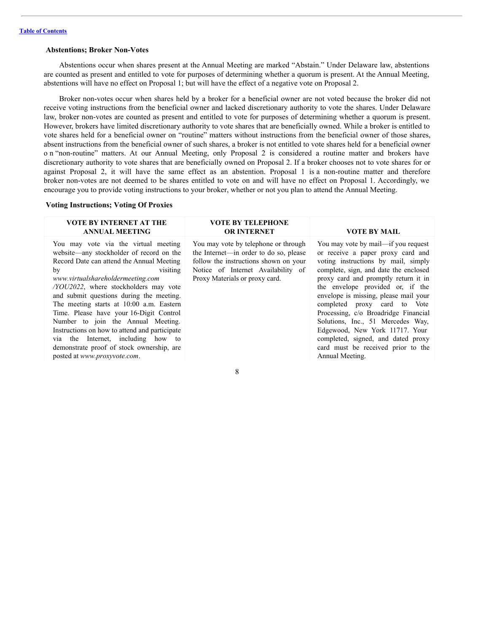#### <span id="page-12-0"></span>**Abstentions; Broker Non-Votes**

Abstentions occur when shares present at the Annual Meeting are marked "Abstain." Under Delaware law, abstentions are counted as present and entitled to vote for purposes of determining whether a quorum is present. At the Annual Meeting, abstentions will have no effect on Proposal 1; but will have the effect of a negative vote on Proposal 2.

Broker non-votes occur when shares held by a broker for a beneficial owner are not voted because the broker did not receive voting instructions from the beneficial owner and lacked discretionary authority to vote the shares. Under Delaware law, broker non-votes are counted as present and entitled to vote for purposes of determining whether a quorum is present. However, brokers have limited discretionary authority to vote shares that are beneficially owned. While a broker is entitled to vote shares held for a beneficial owner on "routine" matters without instructions from the beneficial owner of those shares, absent instructions from the beneficial owner of such shares, a broker is not entitled to vote shares held for a beneficial owner o n "non-routine" matters. At our Annual Meeting, only Proposal 2 is considered a routine matter and brokers have discretionary authority to vote shares that are beneficially owned on Proposal 2. If a broker chooses not to vote shares for or against Proposal 2, it will have the same effect as an abstention. Proposal 1 is a non-routine matter and therefore broker non-votes are not deemed to be shares entitled to vote on and will have no effect on Proposal 1. Accordingly, we encourage you to provide voting instructions to your broker, whether or not you plan to attend the Annual Meeting.

## <span id="page-12-1"></span>**Voting Instructions; Voting Of Proxies**

| VOTE BY INTERNET AT THE<br><b>ANNUAL MEETING</b>                                                                                                                                                                                                                                                                                                                                                                                                                                                                                                                            | VOTE BY TELEPHONE<br><b>OR INTERNET</b>                                                                                                                                                         | <b>VOTE BY MAIL</b>                                                                                                                                                                                                                                                                                                                                                                                                                                                                                                         |
|-----------------------------------------------------------------------------------------------------------------------------------------------------------------------------------------------------------------------------------------------------------------------------------------------------------------------------------------------------------------------------------------------------------------------------------------------------------------------------------------------------------------------------------------------------------------------------|-------------------------------------------------------------------------------------------------------------------------------------------------------------------------------------------------|-----------------------------------------------------------------------------------------------------------------------------------------------------------------------------------------------------------------------------------------------------------------------------------------------------------------------------------------------------------------------------------------------------------------------------------------------------------------------------------------------------------------------------|
| You may vote via the virtual meeting<br>website—any stockholder of record on the<br>Record Date can attend the Annual Meeting<br>visiting<br>by<br>www.virtualshareholdermeeting.com<br>/YOU2022, where stockholders may vote<br>and submit questions during the meeting.<br>The meeting starts at 10:00 a.m. Eastern<br>Time. Please have your 16-Digit Control<br>Number to join the Annual Meeting.<br>Instructions on how to attend and participate.<br>via the Internet, including how to<br>demonstrate proof of stock ownership, are<br>posted at www.proxyvote.com. | You may vote by telephone or through<br>the Internet—in order to do so, please<br>follow the instructions shown on your<br>Notice of Internet Availability of<br>Proxy Materials or proxy card. | You may vote by mail—if you request<br>or receive a paper proxy card and<br>voting instructions by mail, simply<br>complete, sign, and date the enclosed<br>proxy card and promptly return it in<br>the envelope provided or, if the<br>envelope is missing, please mail your<br>completed proxy card to Vote<br>Processing, c/o Broadridge Financial<br>Solutions, Inc., 51 Mercedes Way,<br>Edgewood, New York 11717. Your<br>completed, signed, and dated proxy<br>card must be received prior to the<br>Annual Meeting. |
|                                                                                                                                                                                                                                                                                                                                                                                                                                                                                                                                                                             |                                                                                                                                                                                                 |                                                                                                                                                                                                                                                                                                                                                                                                                                                                                                                             |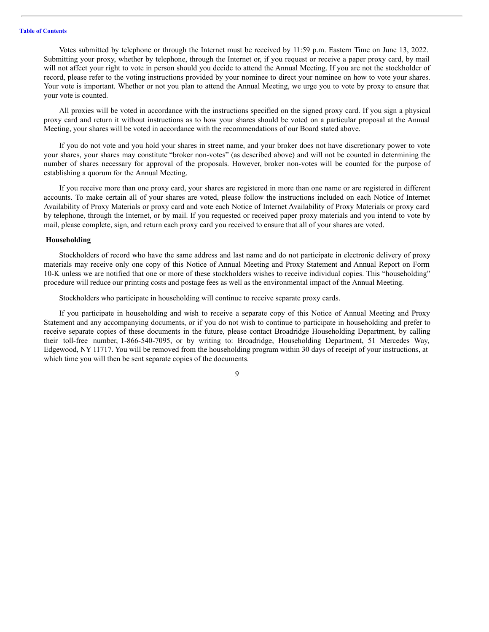Votes submitted by telephone or through the Internet must be received by 11:59 p.m. Eastern Time on June 13, 2022. Submitting your proxy, whether by telephone, through the Internet or, if you request or receive a paper proxy card, by mail will not affect your right to vote in person should you decide to attend the Annual Meeting. If you are not the stockholder of record, please refer to the voting instructions provided by your nominee to direct your nominee on how to vote your shares. Your vote is important. Whether or not you plan to attend the Annual Meeting, we urge you to vote by proxy to ensure that your vote is counted.

All proxies will be voted in accordance with the instructions specified on the signed proxy card. If you sign a physical proxy card and return it without instructions as to how your shares should be voted on a particular proposal at the Annual Meeting, your shares will be voted in accordance with the recommendations of our Board stated above.

If you do not vote and you hold your shares in street name, and your broker does not have discretionary power to vote your shares, your shares may constitute "broker non-votes" (as described above) and will not be counted in determining the number of shares necessary for approval of the proposals. However, broker non-votes will be counted for the purpose of establishing a quorum for the Annual Meeting.

If you receive more than one proxy card, your shares are registered in more than one name or are registered in different accounts. To make certain all of your shares are voted, please follow the instructions included on each Notice of Internet Availability of Proxy Materials or proxy card and vote each Notice of Internet Availability of Proxy Materials or proxy card by telephone, through the Internet, or by mail. If you requested or received paper proxy materials and you intend to vote by mail, please complete, sign, and return each proxy card you received to ensure that all of your shares are voted.

#### <span id="page-13-0"></span>**Householding**

Stockholders of record who have the same address and last name and do not participate in electronic delivery of proxy materials may receive only one copy of this Notice of Annual Meeting and Proxy Statement and Annual Report on Form 10-K unless we are notified that one or more of these stockholders wishes to receive individual copies. This "householding" procedure will reduce our printing costs and postage fees as well as the environmental impact of the Annual Meeting.

Stockholders who participate in householding will continue to receive separate proxy cards.

If you participate in householding and wish to receive a separate copy of this Notice of Annual Meeting and Proxy Statement and any accompanying documents, or if you do not wish to continue to participate in householding and prefer to receive separate copies of these documents in the future, please contact Broadridge Householding Department, by calling their toll-free number, 1-866-540-7095, or by writing to: Broadridge, Householding Department, 51 Mercedes Way, Edgewood, NY 11717. You will be removed from the householding program within 30 days of receipt of your instructions, at which time you will then be sent separate copies of the documents.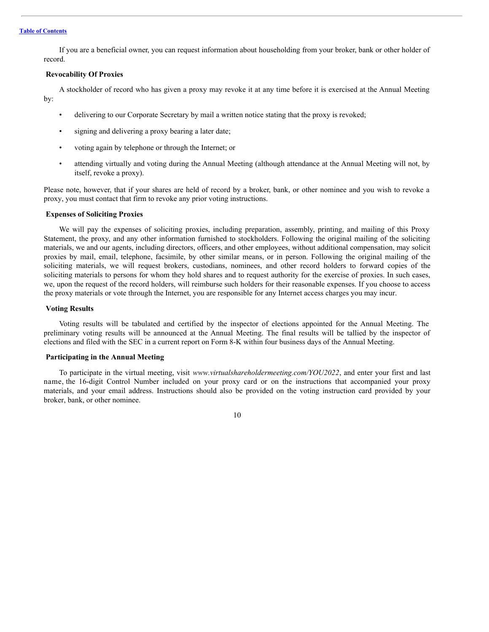If you are a beneficial owner, you can request information about householding from your broker, bank or other holder of record.

# <span id="page-14-0"></span>**Revocability Of Proxies**

A stockholder of record who has given a proxy may revoke it at any time before it is exercised at the Annual Meeting by:

- delivering to our Corporate Secretary by mail a written notice stating that the proxy is revoked;
- signing and delivering a proxy bearing a later date;
- voting again by telephone or through the Internet; or
- attending virtually and voting during the Annual Meeting (although attendance at the Annual Meeting will not, by itself, revoke a proxy).

Please note, however, that if your shares are held of record by a broker, bank, or other nominee and you wish to revoke a proxy, you must contact that firm to revoke any prior voting instructions.

# <span id="page-14-1"></span>**Expenses of Soliciting Proxies**

We will pay the expenses of soliciting proxies, including preparation, assembly, printing, and mailing of this Proxy Statement, the proxy, and any other information furnished to stockholders. Following the original mailing of the soliciting materials, we and our agents, including directors, officers, and other employees, without additional compensation, may solicit proxies by mail, email, telephone, facsimile, by other similar means, or in person. Following the original mailing of the soliciting materials, we will request brokers, custodians, nominees, and other record holders to forward copies of the soliciting materials to persons for whom they hold shares and to request authority for the exercise of proxies. In such cases, we, upon the request of the record holders, will reimburse such holders for their reasonable expenses. If you choose to access the proxy materials or vote through the Internet, you are responsible for any Internet access charges you may incur.

### <span id="page-14-2"></span>**Voting Results**

Voting results will be tabulated and certified by the inspector of elections appointed for the Annual Meeting. The preliminary voting results will be announced at the Annual Meeting. The final results will be tallied by the inspector of elections and filed with the SEC in a current report on Form 8-K within four business days of the Annual Meeting.

# <span id="page-14-3"></span>**Participating in the Annual Meeting**

To participate in the virtual meeting, visit *www.virtualshareholdermeeting.com/YOU2022*, and enter your first and last name, the 16-digit Control Number included on your proxy card or on the instructions that accompanied your proxy materials, and your email address. Instructions should also be provided on the voting instruction card provided by your broker, bank, or other nominee.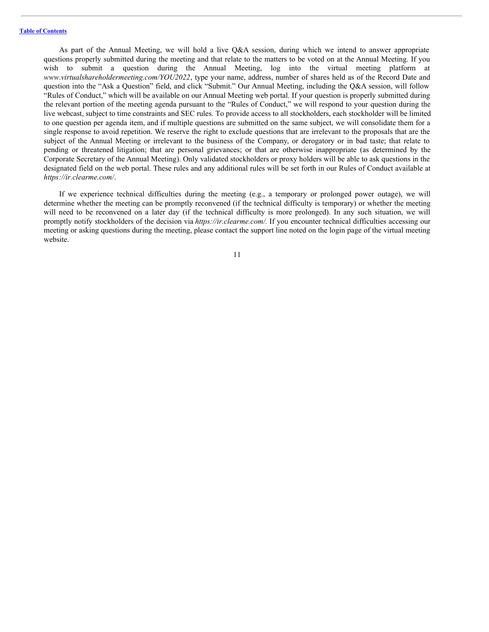As part of the Annual Meeting, we will hold a live Q&A session, during which we intend to answer appropriate questions properly submitted during the meeting and that relate to the matters to be voted on at the Annual Meeting. If you wish to submit a question during the Annual Meeting, log into the virtual meeting platform at *www.virtualshareholdermeeting.com/YOU2022*, type your name, address, number of shares held as of the Record Date and question into the "Ask a Question" field, and click "Submit." Our Annual Meeting, including the Q&A session, will follow "Rules of Conduct," which will be available on our Annual Meeting web portal. If your question is properly submitted during the relevant portion of the meeting agenda pursuant to the "Rules of Conduct," we will respond to your question during the live webcast, subject to time constraints and SEC rules. To provide access to all stockholders, each stockholder will be limited to one question per agenda item, and if multiple questions are submitted on the same subject, we will consolidate them for a single response to avoid repetition. We reserve the right to exclude questions that are irrelevant to the proposals that are the subject of the Annual Meeting or irrelevant to the business of the Company, or derogatory or in bad taste; that relate to pending or threatened litigation; that are personal grievances; or that are otherwise inappropriate (as determined by the Corporate Secretary of the Annual Meeting). Only validated stockholders or proxy holders will be able to ask questions in the designated field on the web portal. These rules and any additional rules will be set forth in our Rules of Conduct available at *https://ir.clearme.com/*.

If we experience technical difficulties during the meeting (e.g., a temporary or prolonged power outage), we will determine whether the meeting can be promptly reconvened (if the technical difficulty is temporary) or whether the meeting will need to be reconvened on a later day (if the technical difficulty is more prolonged). In any such situation, we will promptly notify stockholders of the decision via *https://ir.clearme.com/.* If you encounter technical difficulties accessing our meeting or asking questions during the meeting, please contact the support line noted on the login page of the virtual meeting website.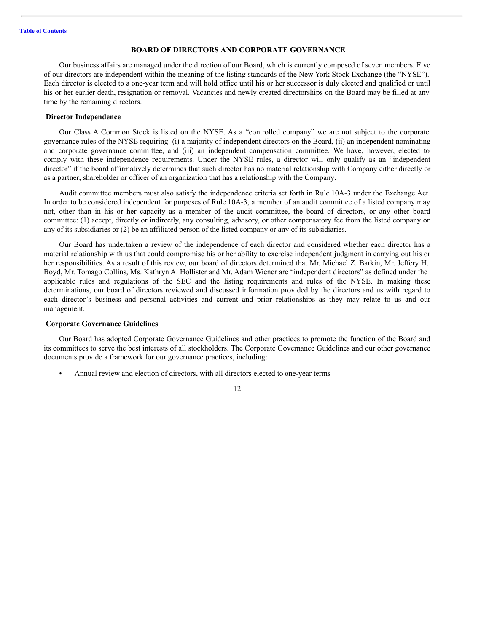## <span id="page-16-0"></span>**BOARD OF DIRECTORS AND CORPORATE GOVERNANCE**

Our business affairs are managed under the direction of our Board, which is currently composed of seven members. Five of our directors are independent within the meaning of the listing standards of the New York Stock Exchange (the "NYSE"). Each director is elected to a one-year term and will hold office until his or her successor is duly elected and qualified or until his or her earlier death, resignation or removal. Vacancies and newly created directorships on the Board may be filled at any time by the remaining directors.

### <span id="page-16-1"></span>**Director Independence**

Our Class A Common Stock is listed on the NYSE. As a "controlled company" we are not subject to the corporate governance rules of the NYSE requiring: (i) a majority of independent directors on the Board, (ii) an independent nominating and corporate governance committee, and (iii) an independent compensation committee. We have, however, elected to comply with these independence requirements. Under the NYSE rules, a director will only qualify as an "independent director" if the board affirmatively determines that such director has no material relationship with Company either directly or as a partner, shareholder or officer of an organization that has a relationship with the Company.

Audit committee members must also satisfy the independence criteria set forth in Rule 10A-3 under the Exchange Act. In order to be considered independent for purposes of Rule 10A-3, a member of an audit committee of a listed company may not, other than in his or her capacity as a member of the audit committee, the board of directors, or any other board committee: (1) accept, directly or indirectly, any consulting, advisory, or other compensatory fee from the listed company or any of its subsidiaries or (2) be an affiliated person of the listed company or any of its subsidiaries.

Our Board has undertaken a review of the independence of each director and considered whether each director has a material relationship with us that could compromise his or her ability to exercise independent judgment in carrying out his or her responsibilities. As a result of this review, our board of directors determined that Mr. Michael Z. Barkin, Mr. Jeffery H. Boyd, Mr. Tomago Collins, Ms. Kathryn A. Hollister and Mr. Adam Wiener are "independent directors" as defined under the applicable rules and regulations of the SEC and the listing requirements and rules of the NYSE. In making these determinations, our board of directors reviewed and discussed information provided by the directors and us with regard to each director's business and personal activities and current and prior relationships as they may relate to us and our management.

#### <span id="page-16-2"></span>**Corporate Governance Guidelines**

Our Board has adopted Corporate Governance Guidelines and other practices to promote the function of the Board and its committees to serve the best interests of all stockholders. The Corporate Governance Guidelines and our other governance documents provide a framework for our governance practices, including:

• Annual review and election of directors, with all directors elected to one-year terms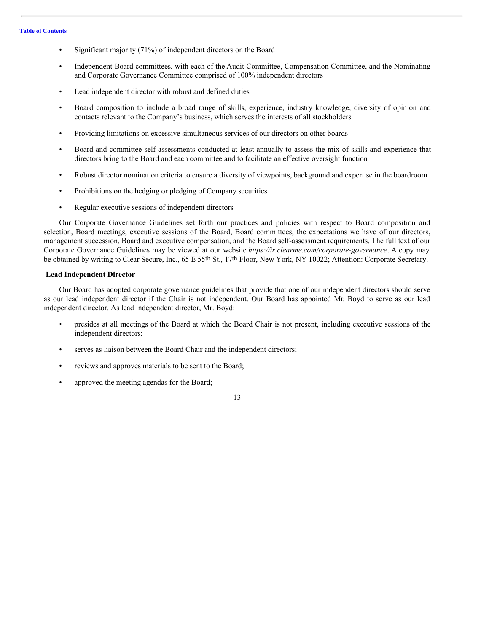- Significant majority (71%) of independent directors on the Board
- Independent Board committees, with each of the Audit Committee, Compensation Committee, and the Nominating and Corporate Governance Committee comprised of 100% independent directors
- Lead independent director with robust and defined duties
- Board composition to include a broad range of skills, experience, industry knowledge, diversity of opinion and contacts relevant to the Company's business, which serves the interests of all stockholders
- Providing limitations on excessive simultaneous services of our directors on other boards
- Board and committee self-assessments conducted at least annually to assess the mix of skills and experience that directors bring to the Board and each committee and to facilitate an effective oversight function
- Robust director nomination criteria to ensure a diversity of viewpoints, background and expertise in the boardroom
- Prohibitions on the hedging or pledging of Company securities
- Regular executive sessions of independent directors

Our Corporate Governance Guidelines set forth our practices and policies with respect to Board composition and selection, Board meetings, executive sessions of the Board, Board committees, the expectations we have of our directors, management succession, Board and executive compensation, and the Board self-assessment requirements. The full text of our Corporate Governance Guidelines may be viewed at our website *https://ir.clearme.com/corporate-governance*. A copy may be obtained by writing to Clear Secure, Inc., 65 E 55th St., 17th Floor, New York, NY 10022; Attention: Corporate Secretary.

## <span id="page-17-0"></span>**Lead Independent Director**

Our Board has adopted corporate governance guidelines that provide that one of our independent directors should serve as our lead independent director if the Chair is not independent. Our Board has appointed Mr. Boyd to serve as our lead independent director. As lead independent director, Mr. Boyd:

- presides at all meetings of the Board at which the Board Chair is not present, including executive sessions of the independent directors;
- serves as liaison between the Board Chair and the independent directors;
- reviews and approves materials to be sent to the Board;
- approved the meeting agendas for the Board;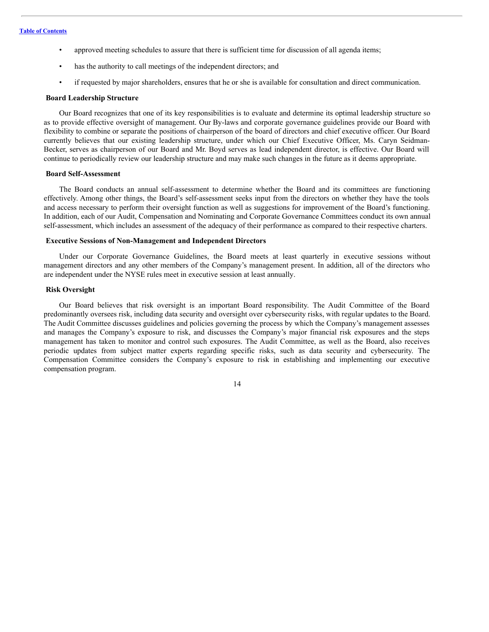- approved meeting schedules to assure that there is sufficient time for discussion of all agenda items;
- has the authority to call meetings of the independent directors; and
- if requested by major shareholders, ensures that he or she is available for consultation and direct communication.

#### <span id="page-18-0"></span>**Board Leadership Structure**

Our Board recognizes that one of its key responsibilities is to evaluate and determine its optimal leadership structure so as to provide effective oversight of management. Our By-laws and corporate governance guidelines provide our Board with flexibility to combine or separate the positions of chairperson of the board of directors and chief executive officer. Our Board currently believes that our existing leadership structure, under which our Chief Executive Officer, Ms. Caryn Seidman-Becker, serves as chairperson of our Board and Mr. Boyd serves as lead independent director, is effective. Our Board will continue to periodically review our leadership structure and may make such changes in the future as it deems appropriate.

# <span id="page-18-1"></span>**Board Self-Assessment**

The Board conducts an annual self-assessment to determine whether the Board and its committees are functioning effectively. Among other things, the Board's self-assessment seeks input from the directors on whether they have the tools and access necessary to perform their oversight function as well as suggestions for improvement of the Board's functioning. In addition, each of our Audit, Compensation and Nominating and Corporate Governance Committees conduct its own annual self-assessment, which includes an assessment of the adequacy of their performance as compared to their respective charters.

## <span id="page-18-2"></span>**Executive Sessions of Non-Management and Independent Directors**

Under our Corporate Governance Guidelines, the Board meets at least quarterly in executive sessions without management directors and any other members of the Company's management present. In addition, all of the directors who are independent under the NYSE rules meet in executive session at least annually.

# <span id="page-18-3"></span>**Risk Oversight**

Our Board believes that risk oversight is an important Board responsibility. The Audit Committee of the Board predominantly oversees risk, including data security and oversight over cybersecurity risks, with regular updates to the Board. The Audit Committee discusses guidelines and policies governing the process by which the Company's management assesses and manages the Company's exposure to risk, and discusses the Company's major financial risk exposures and the steps management has taken to monitor and control such exposures. The Audit Committee, as well as the Board, also receives periodic updates from subject matter experts regarding specific risks, such as data security and cybersecurity. The Compensation Committee considers the Company's exposure to risk in establishing and implementing our executive compensation program.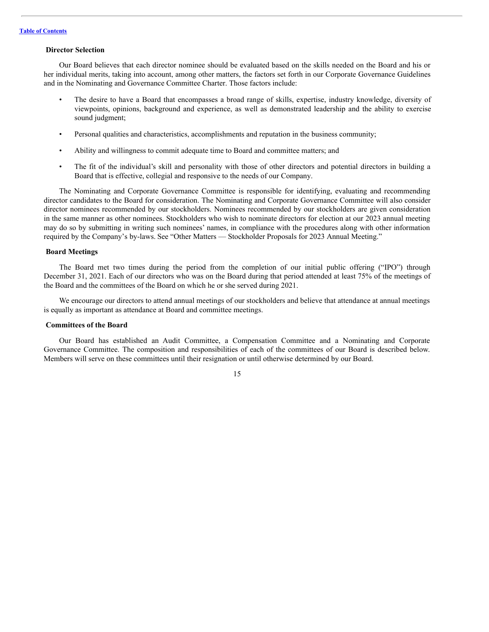#### <span id="page-19-0"></span>**Director Selection**

Our Board believes that each director nominee should be evaluated based on the skills needed on the Board and his or her individual merits, taking into account, among other matters, the factors set forth in our Corporate Governance Guidelines and in the Nominating and Governance Committee Charter. Those factors include:

- The desire to have a Board that encompasses a broad range of skills, expertise, industry knowledge, diversity of viewpoints, opinions, background and experience, as well as demonstrated leadership and the ability to exercise sound judgment;
- Personal qualities and characteristics, accomplishments and reputation in the business community;
- Ability and willingness to commit adequate time to Board and committee matters; and
- The fit of the individual's skill and personality with those of other directors and potential directors in building a Board that is effective, collegial and responsive to the needs of our Company.

The Nominating and Corporate Governance Committee is responsible for identifying, evaluating and recommending director candidates to the Board for consideration. The Nominating and Corporate Governance Committee will also consider director nominees recommended by our stockholders. Nominees recommended by our stockholders are given consideration in the same manner as other nominees. Stockholders who wish to nominate directors for election at our 2023 annual meeting may do so by submitting in writing such nominees' names, in compliance with the procedures along with other information required by the Company's by-laws. See "Other Matters — Stockholder Proposals for 2023 Annual Meeting."

#### <span id="page-19-1"></span>**Board Meetings**

The Board met two times during the period from the completion of our initial public offering ("IPO") through December 31, 2021. Each of our directors who was on the Board during that period attended at least 75% of the meetings of the Board and the committees of the Board on which he or she served during 2021.

We encourage our directors to attend annual meetings of our stockholders and believe that attendance at annual meetings is equally as important as attendance at Board and committee meetings.

# <span id="page-19-2"></span>**Committees of the Board**

Our Board has established an Audit Committee, a Compensation Committee and a Nominating and Corporate Governance Committee. The composition and responsibilities of each of the committees of our Board is described below. Members will serve on these committees until their resignation or until otherwise determined by our Board.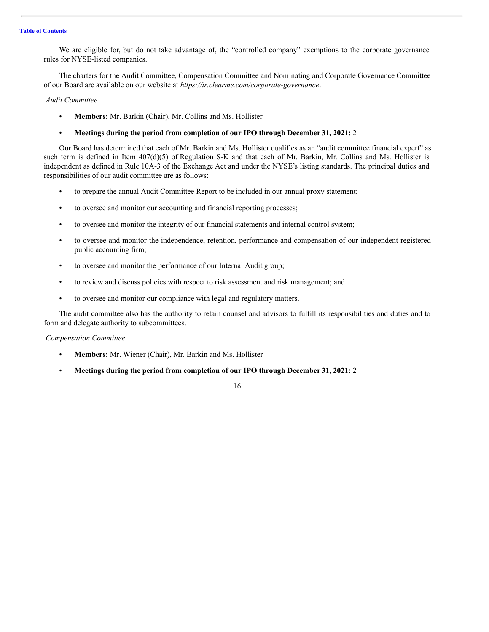We are eligible for, but do not take advantage of, the "controlled company" exemptions to the corporate governance rules for NYSE-listed companies.

The charters for the Audit Committee, Compensation Committee and Nominating and Corporate Governance Committee of our Board are available on our website at *https://ir.clearme.com/corporate-governance*.

## <span id="page-20-0"></span>*Audit Committee*

• **Members:** Mr. Barkin (Chair), Mr. Collins and Ms. Hollister

## • **Meetings during the period from completion of our IPO through December 31, 2021:** 2

Our Board has determined that each of Mr. Barkin and Ms. Hollister qualifies as an "audit committee financial expert" as such term is defined in Item 407(d)(5) of Regulation S-K and that each of Mr. Barkin, Mr. Collins and Ms. Hollister is independent as defined in Rule 10A-3 of the Exchange Act and under the NYSE's listing standards. The principal duties and responsibilities of our audit committee are as follows:

- to prepare the annual Audit Committee Report to be included in our annual proxy statement;
- to oversee and monitor our accounting and financial reporting processes;
- to oversee and monitor the integrity of our financial statements and internal control system;
- to oversee and monitor the independence, retention, performance and compensation of our independent registered public accounting firm;
- to oversee and monitor the performance of our Internal Audit group;
- to review and discuss policies with respect to risk assessment and risk management; and
- to oversee and monitor our compliance with legal and regulatory matters.

The audit committee also has the authority to retain counsel and advisors to fulfill its responsibilities and duties and to form and delegate authority to subcommittees.

# <span id="page-20-1"></span>*Compensation Committee*

- **Members:** Mr. Wiener (Chair), Mr. Barkin and Ms. Hollister
- **Meetings during the period from completion of our IPO through December 31, 2021:** 2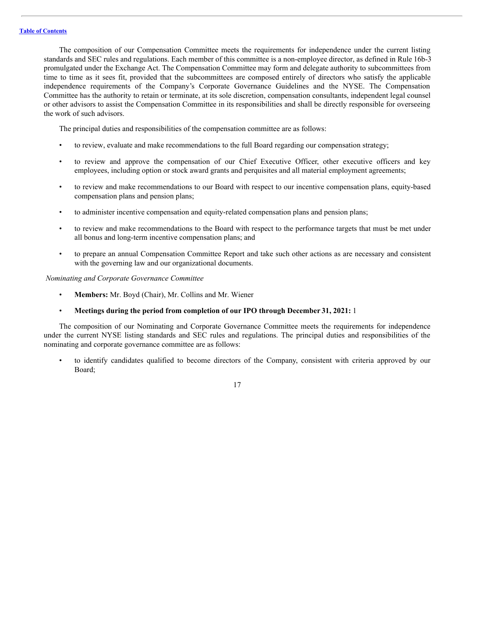The composition of our Compensation Committee meets the requirements for independence under the current listing standards and SEC rules and regulations. Each member of this committee is a non-employee director, as defined in Rule 16b-3 promulgated under the Exchange Act. The Compensation Committee may form and delegate authority to subcommittees from time to time as it sees fit, provided that the subcommittees are composed entirely of directors who satisfy the applicable independence requirements of the Company's Corporate Governance Guidelines and the NYSE. The Compensation Committee has the authority to retain or terminate, at its sole discretion, compensation consultants, independent legal counsel or other advisors to assist the Compensation Committee in its responsibilities and shall be directly responsible for overseeing the work of such advisors.

The principal duties and responsibilities of the compensation committee are as follows:

- to review, evaluate and make recommendations to the full Board regarding our compensation strategy;
- to review and approve the compensation of our Chief Executive Officer, other executive officers and key employees, including option or stock award grants and perquisites and all material employment agreements;
- to review and make recommendations to our Board with respect to our incentive compensation plans, equity-based compensation plans and pension plans;
- to administer incentive compensation and equity-related compensation plans and pension plans;
- to review and make recommendations to the Board with respect to the performance targets that must be met under all bonus and long-term incentive compensation plans; and
- to prepare an annual Compensation Committee Report and take such other actions as are necessary and consistent with the governing law and our organizational documents.

<span id="page-21-0"></span>*Nominating and Corporate Governance Committee*

- **Members:** Mr. Boyd (Chair), Mr. Collins and Mr. Wiener
- **Meetings during the period from completion of our IPO through December 31, 2021:** 1

The composition of our Nominating and Corporate Governance Committee meets the requirements for independence under the current NYSE listing standards and SEC rules and regulations. The principal duties and responsibilities of the nominating and corporate governance committee are as follows:

• to identify candidates qualified to become directors of the Company, consistent with criteria approved by our Board;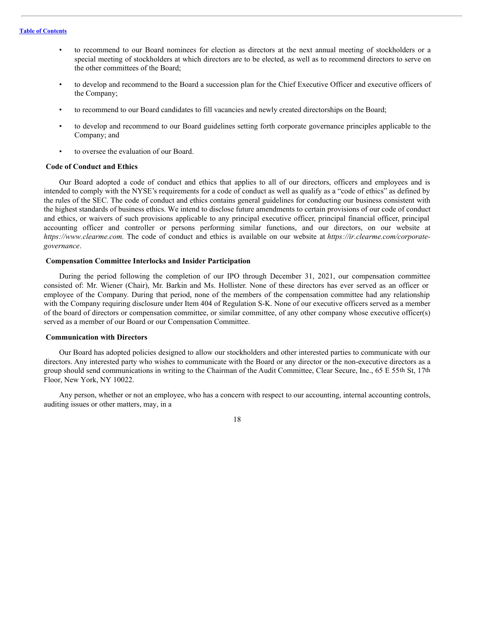- to recommend to our Board nominees for election as directors at the next annual meeting of stockholders or a special meeting of stockholders at which directors are to be elected, as well as to recommend directors to serve on the other committees of the Board;
- to develop and recommend to the Board a succession plan for the Chief Executive Officer and executive officers of the Company;
- to recommend to our Board candidates to fill vacancies and newly created directorships on the Board;
- to develop and recommend to our Board guidelines setting forth corporate governance principles applicable to the Company; and
- to oversee the evaluation of our Board.

## <span id="page-22-0"></span>**Code of Conduct and Ethics**

Our Board adopted a code of conduct and ethics that applies to all of our directors, officers and employees and is intended to comply with the NYSE's requirements for a code of conduct as well as qualify as a "code of ethics" as defined by the rules of the SEC. The code of conduct and ethics contains general guidelines for conducting our business consistent with the highest standards of business ethics. We intend to disclose future amendments to certain provisions of our code of conduct and ethics, or waivers of such provisions applicable to any principal executive officer, principal financial officer, principal accounting officer and controller or persons performing similar functions, and our directors, on our website at *https://www.clearme.com*. The code of conduct and ethics is available on our website at *https://ir.clearme.com/corporategovernance*.

#### <span id="page-22-1"></span>**Compensation Committee Interlocks and Insider Participation**

During the period following the completion of our IPO through December 31, 2021, our compensation committee consisted of: Mr. Wiener (Chair), Mr. Barkin and Ms. Hollister. None of these directors has ever served as an officer or employee of the Company. During that period, none of the members of the compensation committee had any relationship with the Company requiring disclosure under Item 404 of Regulation S-K. None of our executive officers served as a member of the board of directors or compensation committee, or similar committee, of any other company whose executive officer(s) served as a member of our Board or our Compensation Committee.

# <span id="page-22-2"></span>**Communication with Directors**

Our Board has adopted policies designed to allow our stockholders and other interested parties to communicate with our directors. Any interested party who wishes to communicate with the Board or any director or the non-executive directors as a group should send communications in writing to the Chairman of the Audit Committee, Clear Secure, Inc., 65 E 55th St, 17th Floor, New York, NY 10022.

Any person, whether or not an employee, who has a concern with respect to our accounting, internal accounting controls, auditing issues or other matters, may, in a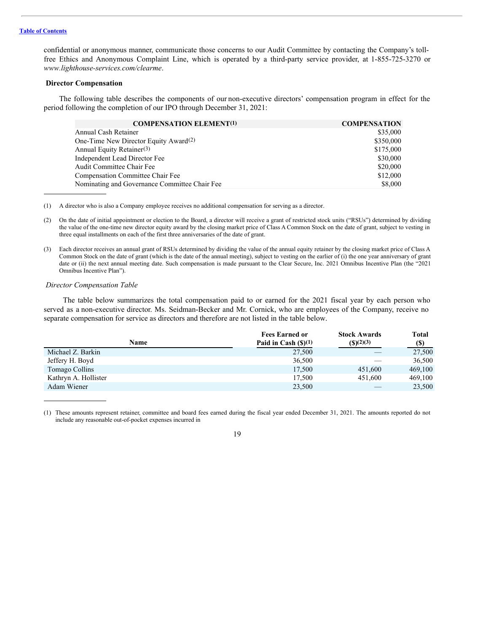#### **Table of [Contents](#page-3-0)**

confidential or anonymous manner, communicate those concerns to our Audit Committee by contacting the Company's tollfree Ethics and Anonymous Complaint Line, which is operated by a third-party service provider, at 1-855-725-3270 or *www.lighthouse-services.com/clearme*.

#### <span id="page-23-0"></span>**Director Compensation**

The following table describes the components of our non-executive directors' compensation program in effect for the period following the completion of our IPO through December 31, 2021:

| <b>COMPENSATION ELEMENT(1)</b>                    | <b>COMPENSATION</b> |
|---------------------------------------------------|---------------------|
| Annual Cash Retainer                              | \$35,000            |
| One-Time New Director Equity Award <sup>(2)</sup> | \$350,000           |
| Annual Equity Retainer <sup>(3)</sup>             | \$175,000           |
| Independent Lead Director Fee                     | \$30,000            |
| Audit Committee Chair Fee                         | \$20,000            |
| Compensation Committee Chair Fee                  | \$12,000            |
| Nominating and Governance Committee Chair Fee     | \$8,000             |

(1) A director who is also a Company employee receives no additional compensation for serving as a director.

- (2) On the date of initial appointment or election to the Board, a director will receive a grant of restricted stock units ("RSUs") determined by dividing the value of the one-time new director equity award by the closing market price of Class A Common Stock on the date of grant, subject to vesting in three equal installments on each of the first three anniversaries of the date of grant.
- (3) Each director receives an annual grant of RSUs determined by dividing the value of the annual equity retainer by the closing market price of Class A Common Stock on the date of grant (which is the date of the annual meeting), subject to vesting on the earlier of (i) the one year anniversary of grant date or (ii) the next annual meeting date. Such compensation is made pursuant to the Clear Secure, Inc. 2021 Omnibus Incentive Plan (the "2021") Omnibus Incentive Plan").

## <span id="page-23-1"></span>*Director Compensation Table*

The table below summarizes the total compensation paid to or earned for the 2021 fiscal year by each person who served as a non-executive director. Ms. Seidman-Becker and Mr. Cornick, who are employees of the Company, receive no separate compensation for service as directors and therefore are not listed in the table below.

|                      | <b>Fees Earned or</b>        | <b>Stock Awards</b>     | <b>Total</b> |
|----------------------|------------------------------|-------------------------|--------------|
| <b>Name</b>          | Paid in Cash $(\text{S})(1)$ | $({\binom{5}{2}}(2)(3)$ | $(\$)$       |
| Michael Z. Barkin    | 27,500                       |                         | 27,500       |
| Jeffery H. Boyd      | 36,500                       |                         | 36,500       |
| Tomago Collins       | 17,500                       | 451,600                 | 469,100      |
| Kathryn A. Hollister | 17.500                       | 451,600                 | 469,100      |
| Adam Wiener          | 23,500                       |                         | 23,500       |

<sup>(1)</sup> These amounts represent retainer, committee and board fees earned during the fiscal year ended December 31, 2021. The amounts reported do not include any reasonable out-of-pocket expenses incurred in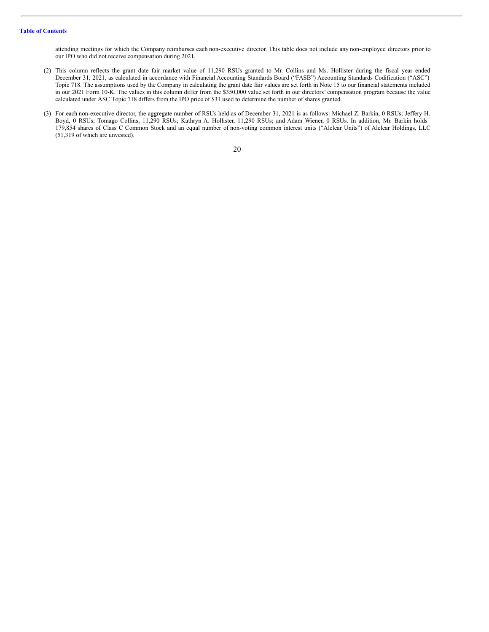attending meetings for which the Company reimburses each non-executive director. This table does not include any non-employee directors prior to our IPO who did not receive compensation during 2021.

- (2) This column reflects the grant date fair market value of 11,290 RSUs granted to Mr. Collins and Ms. Hollister during the fiscal year ended December 31, 2021, as calculated in accordance with Financial Accounting Standards Board ("FASB") Accounting Standards Codification ("ASC") Topic 718. The assumptions used by the Company in calculating the grant date fair values are set forth in Note 15 to our financial statements included in our 2021 Form 10-K. The values in this column differ from the \$350,000 value set forth in our directors' compensation program because the value calculated under ASC Topic 718 differs from the IPO price of \$31 used to determine the number of shares granted.
- (3) For each non-executive director, the aggregate number of RSUs held as of December 31, 2021 is as follows: Michael Z. Barkin, 0 RSUs; Jeffery H. Boyd, 0 RSUs; Tomago Collins, 11,290 RSUs; Kathryn A. Hollister, 11,290 RSUs; and Adam Wiener, 0 RSUs. In addition, Mr. Barkin holds 179,854 shares of Class C Common Stock and an equal number of non-voting common interest units ("Alclear Units") of Alclear Holdings, LLC (51,319 of which are unvested).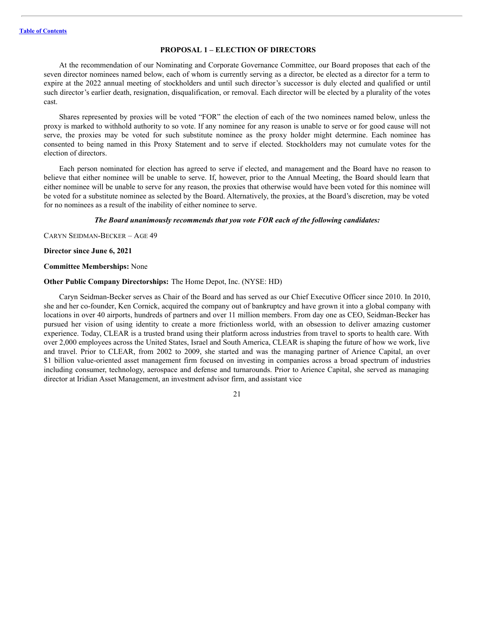#### <span id="page-25-0"></span>**PROPOSAL 1 – ELECTION OF DIRECTORS**

At the recommendation of our Nominating and Corporate Governance Committee, our Board proposes that each of the seven director nominees named below, each of whom is currently serving as a director, be elected as a director for a term to expire at the 2022 annual meeting of stockholders and until such director's successor is duly elected and qualified or until such director's earlier death, resignation, disqualification, or removal. Each director will be elected by a plurality of the votes cast.

Shares represented by proxies will be voted "FOR" the election of each of the two nominees named below, unless the proxy is marked to withhold authority to so vote. If any nominee for any reason is unable to serve or for good cause will not serve, the proxies may be voted for such substitute nominee as the proxy holder might determine. Each nominee has consented to being named in this Proxy Statement and to serve if elected. Stockholders may not cumulate votes for the election of directors.

Each person nominated for election has agreed to serve if elected, and management and the Board have no reason to believe that either nominee will be unable to serve. If, however, prior to the Annual Meeting, the Board should learn that either nominee will be unable to serve for any reason, the proxies that otherwise would have been voted for this nominee will be voted for a substitute nominee as selected by the Board. Alternatively, the proxies, at the Board's discretion, may be voted for no nominees as a result of the inability of either nominee to serve.

### *The Board unanimously recommends that you vote FOR each of the following candidates:*

CARYN SEIDMAN-BECKER – AGE 49

#### **Director since June 6, 2021**

#### **Committee Memberships:** None

#### **Other Public Company Directorships:** The Home Depot, Inc. (NYSE: HD)

Caryn Seidman-Becker serves as Chair of the Board and has served as our Chief Executive Officer since 2010. In 2010, she and her co-founder, Ken Cornick, acquired the company out of bankruptcy and have grown it into a global company with locations in over 40 airports, hundreds of partners and over 11 million members. From day one as CEO, Seidman-Becker has pursued her vision of using identity to create a more frictionless world, with an obsession to deliver amazing customer experience. Today, CLEAR is a trusted brand using their platform across industries from travel to sports to health care. With over 2,000 employees across the United States, Israel and South America, CLEAR is shaping the future of how we work, live and travel. Prior to CLEAR, from 2002 to 2009, she started and was the managing partner of Arience Capital, an over \$1 billion value-oriented asset management firm focused on investing in companies across a broad spectrum of industries including consumer, technology, aerospace and defense and turnarounds. Prior to Arience Capital, she served as managing director at Iridian Asset Management, an investment advisor firm, and assistant vice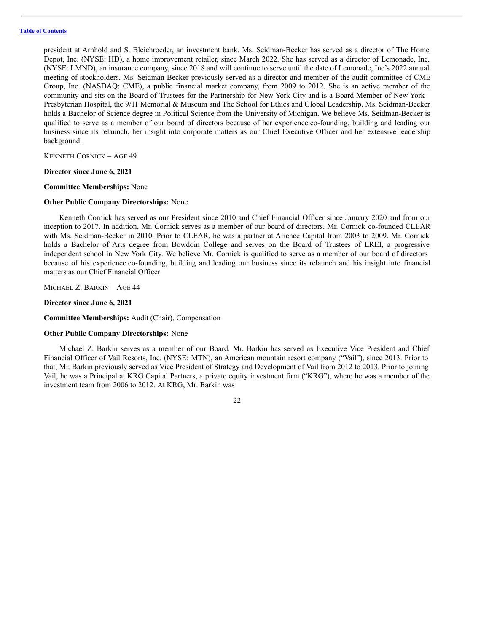president at Arnhold and S. Bleichroeder, an investment bank. Ms. Seidman-Becker has served as a director of The Home Depot, Inc. (NYSE: HD), a home improvement retailer, since March 2022. She has served as a director of Lemonade, Inc. (NYSE: LMND), an insurance company, since 2018 and will continue to serve until the date of Lemonade, Inc's 2022 annual meeting of stockholders. Ms. Seidman Becker previously served as a director and member of the audit committee of CME Group, Inc. (NASDAQ: CME), a public financial market company, from 2009 to 2012. She is an active member of the community and sits on the Board of Trustees for the Partnership for New York City and is a Board Member of New York-Presbyterian Hospital, the 9/11 Memorial & Museum and The School for Ethics and Global Leadership. Ms. Seidman-Becker holds a Bachelor of Science degree in Political Science from the University of Michigan. We believe Ms. Seidman-Becker is qualified to serve as a member of our board of directors because of her experience co-founding, building and leading our business since its relaunch, her insight into corporate matters as our Chief Executive Officer and her extensive leadership background.

KENNETH CORNICK – AGE 49

#### **Director since June 6, 2021**

#### **Committee Memberships:** None

## **Other Public Company Directorships:** None

Kenneth Cornick has served as our President since 2010 and Chief Financial Officer since January 2020 and from our inception to 2017. In addition, Mr. Cornick serves as a member of our board of directors. Mr. Cornick co-founded CLEAR with Ms. Seidman-Becker in 2010. Prior to CLEAR, he was a partner at Arience Capital from 2003 to 2009. Mr. Cornick holds a Bachelor of Arts degree from Bowdoin College and serves on the Board of Trustees of LREI, a progressive independent school in New York City. We believe Mr. Cornick is qualified to serve as a member of our board of directors because of his experience co-founding, building and leading our business since its relaunch and his insight into financial matters as our Chief Financial Officer.

MICHAEL Z. BARKIN – AGE 44

#### **Director since June 6, 2021**

**Committee Memberships:** Audit (Chair), Compensation

## **Other Public Company Directorships:** None

Michael Z. Barkin serves as a member of our Board. Mr. Barkin has served as Executive Vice President and Chief Financial Officer of Vail Resorts, Inc. (NYSE: MTN), an American mountain resort company ("Vail"), since 2013. Prior to that, Mr. Barkin previously served as Vice President of Strategy and Development of Vail from 2012 to 2013. Prior to joining Vail, he was a Principal at KRG Capital Partners, a private equity investment firm ("KRG"), where he was a member of the investment team from 2006 to 2012. At KRG, Mr. Barkin was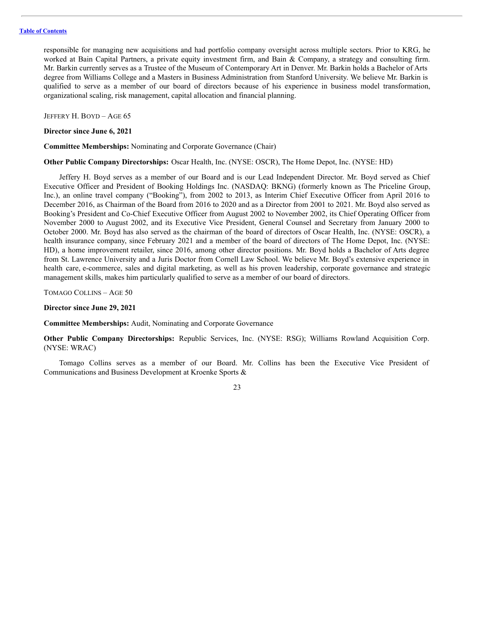responsible for managing new acquisitions and had portfolio company oversight across multiple sectors. Prior to KRG, he worked at Bain Capital Partners, a private equity investment firm, and Bain & Company, a strategy and consulting firm. Mr. Barkin currently serves as a Trustee of the Museum of Contemporary Art in Denver. Mr. Barkin holds a Bachelor of Arts degree from Williams College and a Masters in Business Administration from Stanford University. We believe Mr. Barkin is qualified to serve as a member of our board of directors because of his experience in business model transformation, organizational scaling, risk management, capital allocation and financial planning.

JEFFERY H. BOYD – AGE 65

#### **Director since June 6, 2021**

**Committee Memberships:** Nominating and Corporate Governance (Chair)

**Other Public Company Directorships:** Oscar Health, Inc. (NYSE: OSCR), The Home Depot, Inc. (NYSE: HD)

Jeffery H. Boyd serves as a member of our Board and is our Lead Independent Director. Mr. Boyd served as Chief Executive Officer and President of Booking Holdings Inc. (NASDAQ: BKNG) (formerly known as The Priceline Group, Inc.), an online travel company ("Booking"), from 2002 to 2013, as Interim Chief Executive Officer from April 2016 to December 2016, as Chairman of the Board from 2016 to 2020 and as a Director from 2001 to 2021. Mr. Boyd also served as Booking's President and Co-Chief Executive Officer from August 2002 to November 2002, its Chief Operating Officer from November 2000 to August 2002, and its Executive Vice President, General Counsel and Secretary from January 2000 to October 2000. Mr. Boyd has also served as the chairman of the board of directors of Oscar Health, Inc. (NYSE: OSCR), a health insurance company, since February 2021 and a member of the board of directors of The Home Depot, Inc. (NYSE: HD), a home improvement retailer, since 2016, among other director positions. Mr. Boyd holds a Bachelor of Arts degree from St. Lawrence University and a Juris Doctor from Cornell Law School. We believe Mr. Boyd's extensive experience in health care, e-commerce, sales and digital marketing, as well as his proven leadership, corporate governance and strategic management skills, makes him particularly qualified to serve as a member of our board of directors.

TOMAGO COLLINS – AGE 50

## **Director since June 29, 2021**

**Committee Memberships:** Audit, Nominating and Corporate Governance

**Other Public Company Directorships:** Republic Services, Inc. (NYSE: RSG); Williams Rowland Acquisition Corp. (NYSE: WRAC)

Tomago Collins serves as a member of our Board. Mr. Collins has been the Executive Vice President of Communications and Business Development at Kroenke Sports &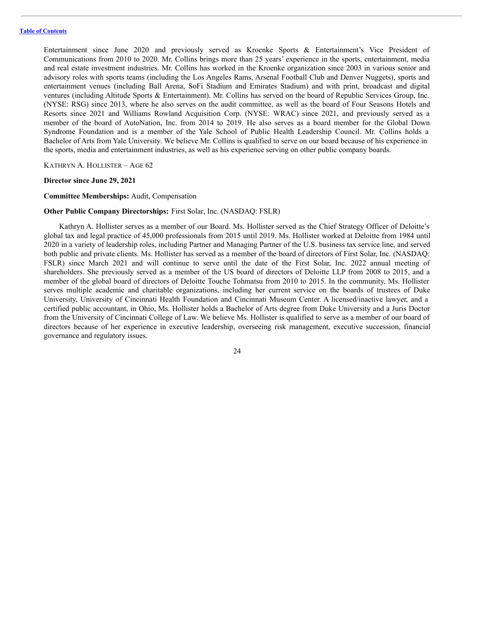Entertainment since June 2020 and previously served as Kroenke Sports & Entertainment's Vice President of Communications from 2010 to 2020. Mr. Collins brings more than 25 years' experience in the sports, entertainment, media and real estate investment industries. Mr. Collins has worked in the Kroenke organization since 2003 in various senior and advisory roles with sports teams (including the Los Angeles Rams, Arsenal Football Club and Denver Nuggets), sports and entertainment venues (including Ball Arena, SoFi Stadium and Emirates Stadium) and with print, broadcast and digital ventures (including Altitude Sports & Entertainment). Mr. Collins has served on the board of Republic Services Group, Inc. (NYSE: RSG) since 2013, where he also serves on the audit committee, as well as the board of Four Seasons Hotels and Resorts since 2021 and Williams Rowland Acquisition Corp. (NYSE: WRAC) since 2021, and previously served as a member of the board of AutoNation, Inc. from 2014 to 2019. He also serves as a board member for the Global Down Syndrome Foundation and is a member of the Yale School of Public Health Leadership Council. Mr. Collins holds a Bachelor of Arts from Yale University. We believe Mr. Collins is qualified to serve on our board because of his experience in the sports, media and entertainment industries, as well as his experience serving on other public company boards.

KATHRYN A. HOLLISTER – AGE 62

#### **Director since June 29, 2021**

#### **Committee Memberships:** Audit, Compensation

# **Other Public Company Directorships:** First Solar, Inc. (NASDAQ: FSLR)

Kathryn A. Hollister serves as a member of our Board. Ms. Hollister served as the Chief Strategy Officer of Deloitte's global tax and legal practice of 45,000 professionals from 2015 until 2019. Ms. Hollister worked at Deloitte from 1984 until 2020 in a variety of leadership roles, including Partner and Managing Partner of the U.S. business tax service line, and served both public and private clients. Ms. Hollister has served as a member of the board of directors of First Solar, Inc. (NASDAQ: FSLR) since March 2021 and will continue to serve until the date of the First Solar, Inc. 2022 annual meeting of shareholders. She previously served as a member of the US board of directors of Deloitte LLP from 2008 to 2015, and a member of the global board of directors of Deloitte Touche Tohmatsu from 2010 to 2015. In the community, Ms. Hollister serves multiple academic and charitable organizations, including her current service on the boards of trustees of Duke University, University of Cincinnati Health Foundation and Cincinnati Museum Center. A licensed/inactive lawyer, and a certified public accountant, in Ohio, Ms. Hollister holds a Bachelor of Arts degree from Duke University and a Juris Doctor from the University of Cincinnati College of Law. We believe Ms. Hollister is qualified to serve as a member of our board of directors because of her experience in executive leadership, overseeing risk management, executive succession, financial governance and regulatory issues.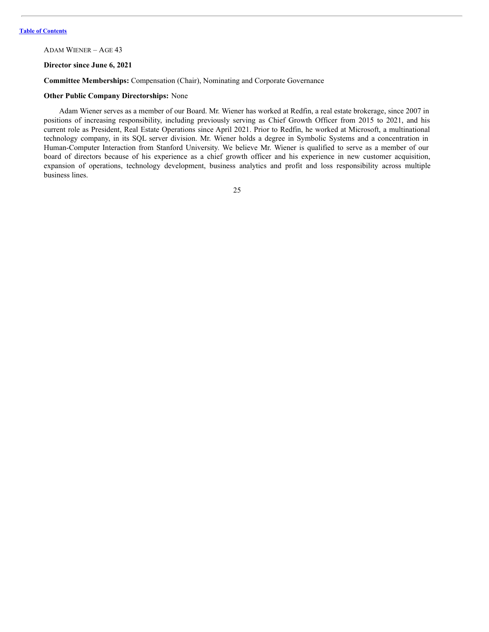ADAM WIENER – AGE 43

#### **Director since June 6, 2021**

# **Committee Memberships:** Compensation (Chair), Nominating and Corporate Governance

# **Other Public Company Directorships:** None

Adam Wiener serves as a member of our Board. Mr. Wiener has worked at Redfin, a real estate brokerage, since 2007 in positions of increasing responsibility, including previously serving as Chief Growth Officer from 2015 to 2021, and his current role as President, Real Estate Operations since April 2021. Prior to Redfin, he worked at Microsoft, a multinational technology company, in its SQL server division. Mr. Wiener holds a degree in Symbolic Systems and a concentration in Human-Computer Interaction from Stanford University. We believe Mr. Wiener is qualified to serve as a member of our board of directors because of his experience as a chief growth officer and his experience in new customer acquisition, expansion of operations, technology development, business analytics and profit and loss responsibility across multiple business lines.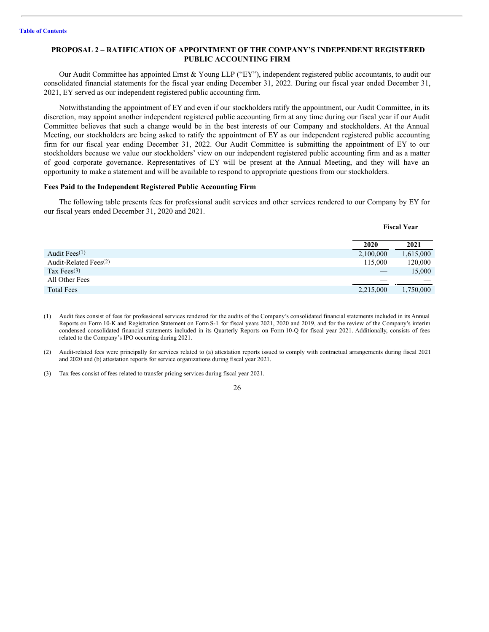# <span id="page-30-0"></span>**PROPOSAL 2 – RATIFICATION OF APPOINTMENT OF THE COMPANY'S INDEPENDENT REGISTERED PUBLIC ACCOUNTING FIRM**

Our Audit Committee has appointed Ernst & Young LLP ("EY"), independent registered public accountants, to audit our consolidated financial statements for the fiscal year ending December 31, 2022. During our fiscal year ended December 31, 2021, EY served as our independent registered public accounting firm.

Notwithstanding the appointment of EY and even if our stockholders ratify the appointment, our Audit Committee, in its discretion, may appoint another independent registered public accounting firm at any time during our fiscal year if our Audit Committee believes that such a change would be in the best interests of our Company and stockholders. At the Annual Meeting, our stockholders are being asked to ratify the appointment of EY as our independent registered public accounting firm for our fiscal year ending December 31, 2022. Our Audit Committee is submitting the appointment of EY to our stockholders because we value our stockholders' view on our independent registered public accounting firm and as a matter of good corporate governance. Representatives of EY will be present at the Annual Meeting, and they will have an opportunity to make a statement and will be available to respond to appropriate questions from our stockholders.

# **Fees Paid to the Independent Registered Public Accounting Firm**

The following table presents fees for professional audit services and other services rendered to our Company by EY for our fiscal years ended December 31, 2020 and 2021.

**Fiscal Year**

|                                   | 2020                        | 2021      |
|-----------------------------------|-----------------------------|-----------|
| Audit Fees $(1)$                  | 2,100,000                   | 1,615,000 |
| Audit-Related Fees <sup>(2)</sup> | 115,000                     | 120,000   |
| Tax Fees $(3)$                    | $\overbrace{\hspace{15em}}$ | 15,000    |
| All Other Fees                    |                             |           |
| <b>Total Fees</b>                 | 2,215,000                   | 1,750,000 |

<sup>(1)</sup> Audit fees consist of fees for professional services rendered for the audits of the Company's consolidated financial statements included in its Annual Reports on Form 10-K and Registration Statement on Form S-1 for fiscal years 2021, 2020 and 2019, and for the review of the Company's interim condensed consolidated financial statements included in its Quarterly Reports on Form 10-Q for fiscal year 2021. Additionally, consists of fees related to the Company's IPO occurring during 2021.

<sup>(2)</sup> Audit-related fees were principally for services related to (a) attestation reports issued to comply with contractual arrangements during fiscal 2021 and 2020 and (b) attestation reports for service organizations during fiscal year 2021.

<sup>(3)</sup> Tax fees consist of fees related to transfer pricing services during fiscal year 2021.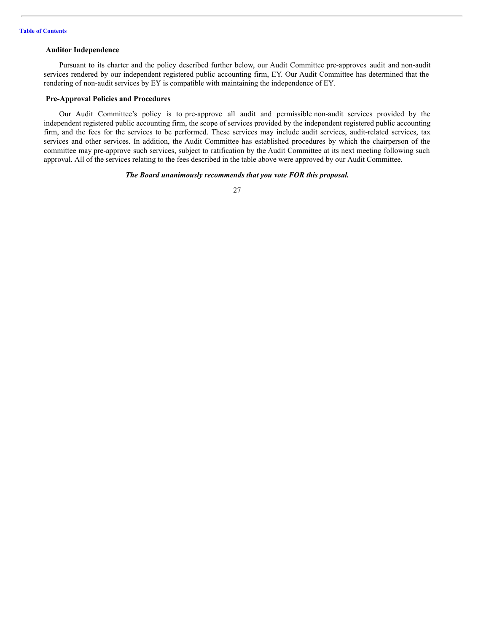#### <span id="page-31-0"></span>**Auditor Independence**

Pursuant to its charter and the policy described further below, our Audit Committee pre-approves audit and non-audit services rendered by our independent registered public accounting firm, EY. Our Audit Committee has determined that the rendering of non-audit services by EY is compatible with maintaining the independence of EY.

#### <span id="page-31-1"></span>**Pre-Approval Policies and Procedures**

Our Audit Committee's policy is to pre-approve all audit and permissible non-audit services provided by the independent registered public accounting firm, the scope of services provided by the independent registered public accounting firm, and the fees for the services to be performed. These services may include audit services, audit-related services, tax services and other services. In addition, the Audit Committee has established procedures by which the chairperson of the committee may pre-approve such services, subject to ratification by the Audit Committee at its next meeting following such approval. All of the services relating to the fees described in the table above were approved by our Audit Committee.

# *The Board unanimously recommends that you vote FOR this proposal.*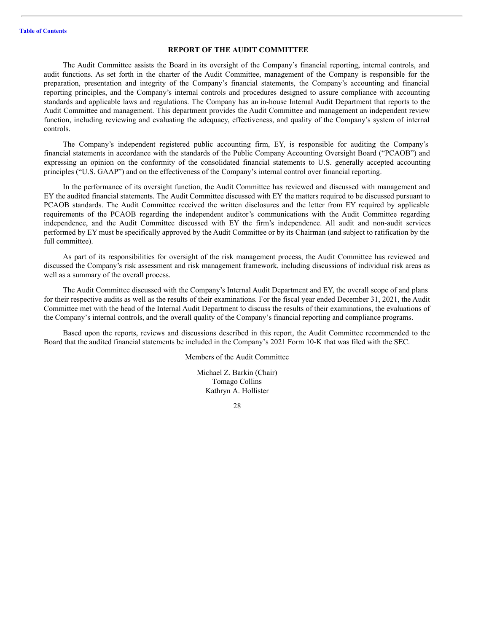# <span id="page-32-0"></span>**REPORT OF THE AUDIT COMMITTEE**

The Audit Committee assists the Board in its oversight of the Company's financial reporting, internal controls, and audit functions. As set forth in the charter of the Audit Committee, management of the Company is responsible for the preparation, presentation and integrity of the Company's financial statements, the Company's accounting and financial reporting principles, and the Company's internal controls and procedures designed to assure compliance with accounting standards and applicable laws and regulations. The Company has an in-house Internal Audit Department that reports to the Audit Committee and management. This department provides the Audit Committee and management an independent review function, including reviewing and evaluating the adequacy, effectiveness, and quality of the Company's system of internal controls.

The Company's independent registered public accounting firm, EY, is responsible for auditing the Company's financial statements in accordance with the standards of the Public Company Accounting Oversight Board ("PCAOB") and expressing an opinion on the conformity of the consolidated financial statements to U.S. generally accepted accounting principles ("U.S. GAAP") and on the effectiveness of the Company's internal control over financial reporting.

In the performance of its oversight function, the Audit Committee has reviewed and discussed with management and EY the audited financial statements. The Audit Committee discussed with EY the matters required to be discussed pursuant to PCAOB standards. The Audit Committee received the written disclosures and the letter from EY required by applicable requirements of the PCAOB regarding the independent auditor's communications with the Audit Committee regarding independence, and the Audit Committee discussed with EY the firm's independence. All audit and non-audit services performed by EY must be specifically approved by the Audit Committee or by its Chairman (and subject to ratification by the full committee).

As part of its responsibilities for oversight of the risk management process, the Audit Committee has reviewed and discussed the Company's risk assessment and risk management framework, including discussions of individual risk areas as well as a summary of the overall process.

The Audit Committee discussed with the Company's Internal Audit Department and EY, the overall scope of and plans for their respective audits as well as the results of their examinations. For the fiscal year ended December 31, 2021, the Audit Committee met with the head of the Internal Audit Department to discuss the results of their examinations, the evaluations of the Company's internal controls, and the overall quality of the Company's financial reporting and compliance programs.

Based upon the reports, reviews and discussions described in this report, the Audit Committee recommended to the Board that the audited financial statements be included in the Company's 2021 Form 10-K that was filed with the SEC.

Members of the Audit Committee

Michael Z. Barkin (Chair) Tomago Collins Kathryn A. Hollister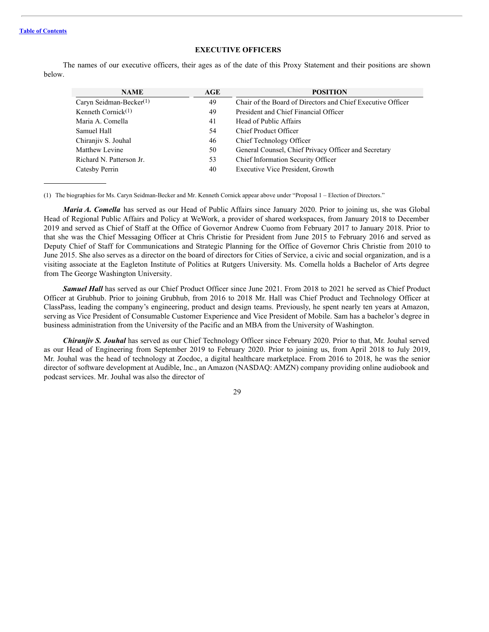# <span id="page-33-0"></span>**EXECUTIVE OFFICERS**

The names of our executive officers, their ages as of the date of this Proxy Statement and their positions are shown below.

| <b>NAME</b>                | AGE | <b>POSITION</b>                                             |
|----------------------------|-----|-------------------------------------------------------------|
| Caryn Seidman-Becker $(1)$ | 49  | Chair of the Board of Directors and Chief Executive Officer |
| Kenneth Cornick $(1)$      | 49  | President and Chief Financial Officer                       |
| Maria A. Comella           | 41  | Head of Public Affairs                                      |
| Samuel Hall                | 54  | Chief Product Officer                                       |
| Chiranjiv S. Jouhal        | 46  | Chief Technology Officer                                    |
| Matthew Levine             | 50  | General Counsel, Chief Privacy Officer and Secretary        |
| Richard N. Patterson Jr.   | 53  | Chief Information Security Officer                          |
| Catesby Perrin             | 40  | Executive Vice President, Growth                            |

(1) The biographies for Ms. Caryn Seidman-Becker and Mr. Kenneth Cornick appear above under "Proposal 1 – Election of Directors."

*Maria A. Comella* has served as our Head of Public Affairs since January 2020. Prior to joining us, she was Global Head of Regional Public Affairs and Policy at WeWork, a provider of shared workspaces, from January 2018 to December 2019 and served as Chief of Staff at the Office of Governor Andrew Cuomo from February 2017 to January 2018. Prior to that she was the Chief Messaging Officer at Chris Christie for President from June 2015 to February 2016 and served as Deputy Chief of Staff for Communications and Strategic Planning for the Office of Governor Chris Christie from 2010 to June 2015. She also serves as a director on the board of directors for Cities of Service, a civic and social organization, and is a visiting associate at the Eagleton Institute of Politics at Rutgers University. Ms. Comella holds a Bachelor of Arts degree from The George Washington University.

*Samuel Hall* has served as our Chief Product Officer since June 2021. From 2018 to 2021 he served as Chief Product Officer at Grubhub. Prior to joining Grubhub, from 2016 to 2018 Mr. Hall was Chief Product and Technology Officer at ClassPass, leading the company's engineering, product and design teams. Previously, he spent nearly ten years at Amazon, serving as Vice President of Consumable Customer Experience and Vice President of Mobile. Sam has a bachelor's degree in business administration from the University of the Pacific and an MBA from the University of Washington.

*Chiranjiv S. Jouhal* has served as our Chief Technology Officer since February 2020. Prior to that, Mr. Jouhal served as our Head of Engineering from September 2019 to February 2020. Prior to joining us, from April 2018 to July 2019, Mr. Jouhal was the head of technology at Zocdoc, a digital healthcare marketplace. From 2016 to 2018, he was the senior director of software development at Audible, Inc., an Amazon (NASDAQ: AMZN) company providing online audiobook and podcast services. Mr. Jouhal was also the director of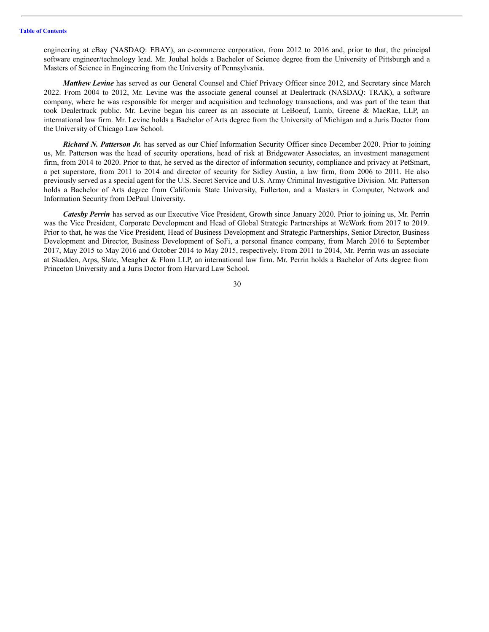#### **Table of [Contents](#page-3-0)**

engineering at eBay (NASDAQ: EBAY), an e-commerce corporation, from 2012 to 2016 and, prior to that, the principal software engineer/technology lead. Mr. Jouhal holds a Bachelor of Science degree from the University of Pittsburgh and a Masters of Science in Engineering from the University of Pennsylvania.

*Matthew Levine* has served as our General Counsel and Chief Privacy Officer since 2012, and Secretary since March 2022. From 2004 to 2012, Mr. Levine was the associate general counsel at Dealertrack (NASDAQ: TRAK), a software company, where he was responsible for merger and acquisition and technology transactions, and was part of the team that took Dealertrack public. Mr. Levine began his career as an associate at LeBoeuf, Lamb, Greene & MacRae, LLP, an international law firm. Mr. Levine holds a Bachelor of Arts degree from the University of Michigan and a Juris Doctor from the University of Chicago Law School.

*Richard N. Patterson Jr.* has served as our Chief Information Security Officer since December 2020. Prior to joining us, Mr. Patterson was the head of security operations, head of risk at Bridgewater Associates, an investment management firm, from 2014 to 2020. Prior to that, he served as the director of information security, compliance and privacy at PetSmart, a pet superstore, from 2011 to 2014 and director of security for Sidley Austin, a law firm, from 2006 to 2011. He also previously served as a special agent for the U.S. Secret Service and U.S. Army Criminal Investigative Division. Mr. Patterson holds a Bachelor of Arts degree from California State University, Fullerton, and a Masters in Computer, Network and Information Security from DePaul University.

*Catesby Perrin* has served as our Executive Vice President, Growth since January 2020. Prior to joining us, Mr. Perrin was the Vice President, Corporate Development and Head of Global Strategic Partnerships at WeWork from 2017 to 2019. Prior to that, he was the Vice President, Head of Business Development and Strategic Partnerships, Senior Director, Business Development and Director, Business Development of SoFi, a personal finance company, from March 2016 to September 2017, May 2015 to May 2016 and October 2014 to May 2015, respectively. From 2011 to 2014, Mr. Perrin was an associate at Skadden, Arps, Slate, Meagher & Flom LLP, an international law firm. Mr. Perrin holds a Bachelor of Arts degree from Princeton University and a Juris Doctor from Harvard Law School.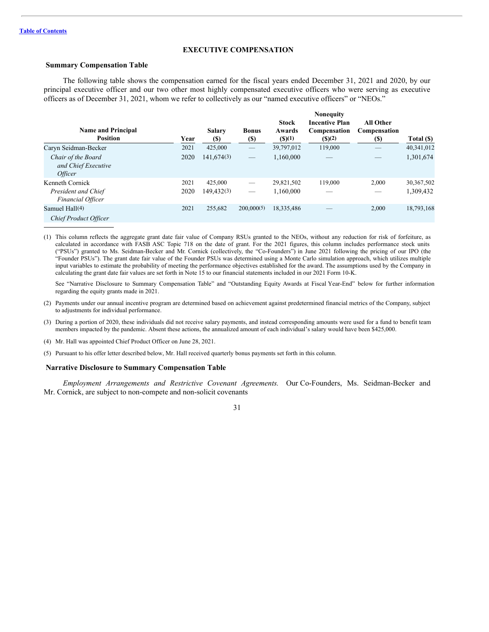# <span id="page-35-0"></span>**EXECUTIVE COMPENSATION**

# <span id="page-35-1"></span>**Summary Compensation Table**

The following table shows the compensation earned for the fiscal years ended December 31, 2021 and 2020, by our principal executive officer and our two other most highly compensated executive officers who were serving as executive officers as of December 31, 2021, whom we refer to collectively as our "named executive officers" or "NEOs."

| <b>Name and Principal</b><br><b>Position</b>                       | Year         | <b>Salary</b><br>(\$) | <b>Bonus</b><br><b>(\$)</b>                                                                                                                                                                                                                                                                                                                                                                   | <b>Stock</b><br>Awards<br>$($ \$ $)(1)$ | <b>Nonequity</b><br><b>Incentive Plan</b><br>Compensation<br>(S)(2) | <b>All Other</b><br>Compensation<br>(\$) | Total (\$)              |
|--------------------------------------------------------------------|--------------|-----------------------|-----------------------------------------------------------------------------------------------------------------------------------------------------------------------------------------------------------------------------------------------------------------------------------------------------------------------------------------------------------------------------------------------|-----------------------------------------|---------------------------------------------------------------------|------------------------------------------|-------------------------|
| Caryn Seidman-Becker                                               | 2021         | 425,000               | $\hspace{1.0cm} \overline{\hspace{1.0cm} \hspace{1.0cm} \hspace{1.0cm} } \hspace{1.0cm} \hspace{1.0cm} \overline{\hspace{1.0cm} \hspace{1.0cm} \hspace{1.0cm} } \hspace{1.0cm} \hspace{1.0cm} \overline{\hspace{1.0cm} \hspace{1.0cm} \hspace{1.0cm} } \hspace{1.0cm} \hspace{1.0cm} \overline{\hspace{1.0cm} \hspace{1.0cm} \hspace{1.0cm} } \hspace{1.0cm} \hspace{1.0cm} \hspace{1.0cm} }$ | 39,797,012                              | 119,000                                                             |                                          | 40,341,012              |
| Chair of the Board<br>and Chief Executive<br><i>Officer</i>        | 2020         | 141,674(3)            |                                                                                                                                                                                                                                                                                                                                                                                               | 1,160,000                               |                                                                     |                                          | 1,301,674               |
| Kenneth Cornick<br>President and Chief<br><b>Financial Officer</b> | 2021<br>2020 | 425,000<br>149.432(3) | $\overbrace{\phantom{12332}}$<br>$\overline{\phantom{a}}$                                                                                                                                                                                                                                                                                                                                     | 29,821,502<br>1,160,000                 | 119,000                                                             | 2.000                                    | 30,367,502<br>1,309,432 |
| Samuel Hall(4)<br><b>Chief Product Officer</b>                     | 2021         | 255,682               | 200,000(5)                                                                                                                                                                                                                                                                                                                                                                                    | 18,335,486                              |                                                                     | 2.000                                    | 18,793,168              |

(1) This column reflects the aggregate grant date fair value of Company RSUs granted to the NEOs, without any reduction for risk of forfeiture, as calculated in accordance with FASB ASC Topic 718 on the date of grant. For the 2021 figures, this column includes performance stock units ("PSUs") granted to Ms. Seidman-Becker and Mr. Cornick (collectively, the "Co-Founders") in June 2021 following the pricing of our IPO (the "Founder PSUs"). The grant date fair value of the Founder PSUs was determined using a Monte Carlo simulation approach, which utilizes multiple input variables to estimate the probability of meeting the performance objectives established for the award. The assumptions used by the Company in calculating the grant date fair values are set forth in Note 15 to our financial statements included in our 2021 Form 10-K.

See "Narrative Disclosure to Summary Compensation Table" and "Outstanding Equity Awards at Fiscal Year-End" below for further information regarding the equity grants made in 2021.

- (2) Payments under our annual incentive program are determined based on achievement against predetermined financial metrics of the Company, subject to adjustments for individual performance.
- (3) During a portion of 2020, these individuals did not receive salary payments, and instead corresponding amounts were used for a fund to benefit team members impacted by the pandemic. Absent these actions, the annualized amount of each individual's salary would have been \$425,000.
- (4) Mr. Hall was appointed Chief Product Officer on June 28, 2021.
- (5) Pursuant to his offer letter described below, Mr. Hall received quarterly bonus payments set forth in this column.

#### <span id="page-35-2"></span>**Narrative Disclosure to Summary Compensation Table**

*Employment Arrangements and Restrictive Covenant Agreements.* Our Co-Founders, Ms. Seidman-Becker and Mr. Cornick, are subject to non-compete and non-solicit covenants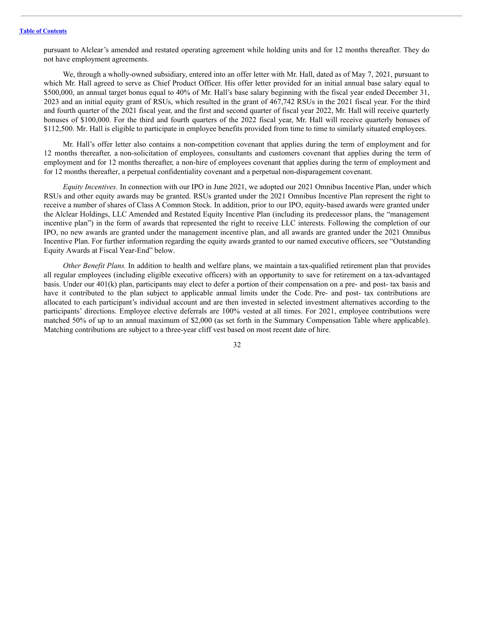pursuant to Alclear's amended and restated operating agreement while holding units and for 12 months thereafter. They do not have employment agreements.

We, through a wholly-owned subsidiary, entered into an offer letter with Mr. Hall, dated as of May 7, 2021, pursuant to which Mr. Hall agreed to serve as Chief Product Officer. His offer letter provided for an initial annual base salary equal to \$500,000, an annual target bonus equal to 40% of Mr. Hall's base salary beginning with the fiscal year ended December 31, 2023 and an initial equity grant of RSUs, which resulted in the grant of 467,742 RSUs in the 2021 fiscal year. For the third and fourth quarter of the 2021 fiscal year, and the first and second quarter of fiscal year 2022, Mr. Hall will receive quarterly bonuses of \$100,000. For the third and fourth quarters of the 2022 fiscal year, Mr. Hall will receive quarterly bonuses of \$112,500. Mr. Hall is eligible to participate in employee benefits provided from time to time to similarly situated employees.

Mr. Hall's offer letter also contains a non-competition covenant that applies during the term of employment and for 12 months thereafter, a non-solicitation of employees, consultants and customers covenant that applies during the term of employment and for 12 months thereafter, a non-hire of employees covenant that applies during the term of employment and for 12 months thereafter, a perpetual confidentiality covenant and a perpetual non-disparagement covenant.

*Equity Incentives.* In connection with our IPO in June 2021, we adopted our 2021 Omnibus Incentive Plan, under which RSUs and other equity awards may be granted. RSUs granted under the 2021 Omnibus Incentive Plan represent the right to receive a number of shares of Class A Common Stock. In addition, prior to our IPO, equity-based awards were granted under the Alclear Holdings, LLC Amended and Restated Equity Incentive Plan (including its predecessor plans, the "management incentive plan") in the form of awards that represented the right to receive LLC interests. Following the completion of our IPO, no new awards are granted under the management incentive plan, and all awards are granted under the 2021 Omnibus Incentive Plan. For further information regarding the equity awards granted to our named executive officers, see "Outstanding Equity Awards at Fiscal Year-End" below.

*Other Benefit Plans.* In addition to health and welfare plans, we maintain a tax-qualified retirement plan that provides all regular employees (including eligible executive officers) with an opportunity to save for retirement on a tax-advantaged basis. Under our 401(k) plan, participants may elect to defer a portion of their compensation on a pre- and post- tax basis and have it contributed to the plan subject to applicable annual limits under the Code. Pre- and post- tax contributions are allocated to each participant's individual account and are then invested in selected investment alternatives according to the participants' directions. Employee elective deferrals are 100% vested at all times. For 2021, employee contributions were matched 50% of up to an annual maximum of \$2,000 (as set forth in the Summary Compensation Table where applicable). Matching contributions are subject to a three-year cliff vest based on most recent date of hire.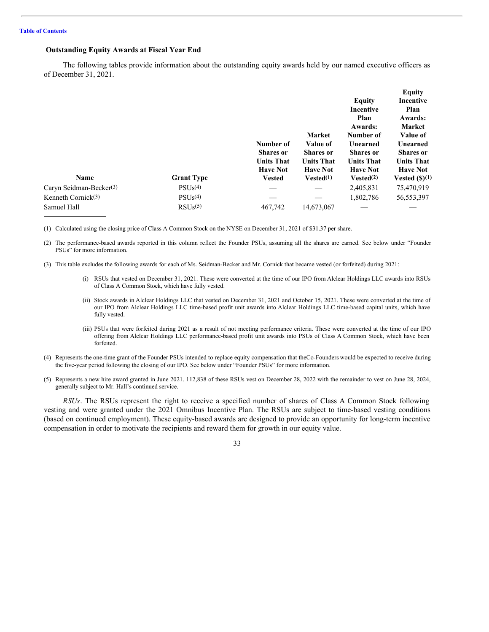#### <span id="page-37-0"></span>**Outstanding Equity Awards at Fiscal Year End**

The following tables provide information about the outstanding equity awards held by our named executive officers as of December 31, 2021.

|                            |                     | Number of<br><b>Shares</b> or<br><b>Units That</b><br><b>Have Not</b> | <b>Market</b><br>Value of<br><b>Shares</b> or<br><b>Units That</b><br><b>Have Not</b> | <b>Equity</b><br>Incentive<br>Plan<br>Awards:<br>Number of<br>Unearned<br><b>Shares</b> or<br><b>Units That</b><br><b>Have Not</b> | <b>Equity</b><br>Incentive<br>Plan<br>Awards:<br><b>Market</b><br>Value of<br>Unearned<br><b>Shares</b> or<br><b>Units That</b><br><b>Have Not</b> |
|----------------------------|---------------------|-----------------------------------------------------------------------|---------------------------------------------------------------------------------------|------------------------------------------------------------------------------------------------------------------------------------|----------------------------------------------------------------------------------------------------------------------------------------------------|
| Name                       | <b>Grant Type</b>   | <b>Vested</b>                                                         | Vested <sup>(1)</sup>                                                                 | Vested <sup>(2)</sup>                                                                                                              | Vested $(\text{\$})^{(1)}$                                                                                                                         |
| Caryn Seidman-Becker $(3)$ | PSUs <sup>(4)</sup> |                                                                       |                                                                                       | 2,405,831                                                                                                                          | 75,470,919                                                                                                                                         |
| Kenneth Cornick $(3)$      | PSUs <sup>(4)</sup> |                                                                       |                                                                                       | 1,802,786                                                                                                                          | 56, 553, 397                                                                                                                                       |
| Samuel Hall                | RSUs <sup>(5)</sup> | 467,742                                                               | 14,673,067                                                                            |                                                                                                                                    |                                                                                                                                                    |

(1) Calculated using the closing price of Class A Common Stock on the NYSE on December 31, 2021 of \$31.37 per share.

(2) The performance-based awards reported in this column reflect the Founder PSUs, assuming all the shares are earned. See below under "Founder PSUs" for more information.

- (3) This table excludes the following awards for each of Ms. Seidman-Becker and Mr. Cornick that became vested (or forfeited) during 2021:
	- (i) RSUs that vested on December 31, 2021. These were converted at the time of our IPO from Alclear Holdings LLC awards into RSUs of Class A Common Stock, which have fully vested.
	- (ii) Stock awards in Alclear Holdings LLC that vested on December 31, 2021 and October 15, 2021. These were converted at the time of our IPO from Alclear Holdings LLC time-based profit unit awards into Alclear Holdings LLC time-based capital units, which have fully vested.
	- (iii) PSUs that were forfeited during 2021 as a result of not meeting performance criteria. These were converted at the time of our IPO offering from Alclear Holdings LLC performance-based profit unit awards into PSUs of Class A Common Stock, which have been forfeited.
- (4) Represents the one-time grant of the Founder PSUs intended to replace equity compensation that theCo-Founders would be expected to receive during the five-year period following the closing of our IPO. See below under "Founder PSUs" for more information.
- (5) Represents a new hire award granted in June 2021. 112,838 of these RSUs vest on December 28, 2022 with the remainder to vest on June 28, 2024, generally subject to Mr. Hall's continued service.

*RSUs*. The RSUs represent the right to receive a specified number of shares of Class A Common Stock following vesting and were granted under the 2021 Omnibus Incentive Plan. The RSUs are subject to time-based vesting conditions (based on continued employment). These equity-based awards are designed to provide an opportunity for long-term incentive compensation in order to motivate the recipients and reward them for growth in our equity value.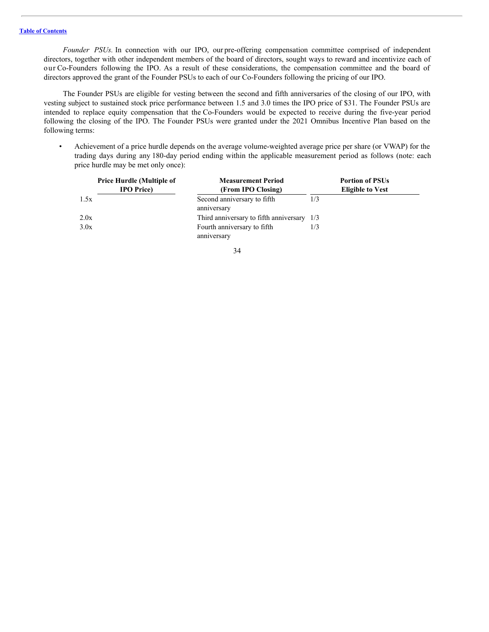*Founder PSUs.* In connection with our IPO, our pre-offering compensation committee comprised of independent directors, together with other independent members of the board of directors, sought ways to reward and incentivize each of our Co-Founders following the IPO. As a result of these considerations, the compensation committee and the board of directors approved the grant of the Founder PSUs to each of our Co-Founders following the pricing of our IPO.

The Founder PSUs are eligible for vesting between the second and fifth anniversaries of the closing of our IPO, with vesting subject to sustained stock price performance between 1.5 and 3.0 times the IPO price of \$31. The Founder PSUs are intended to replace equity compensation that the Co-Founders would be expected to receive during the five-year period following the closing of the IPO. The Founder PSUs were granted under the 2021 Omnibus Incentive Plan based on the following terms:

• Achievement of a price hurdle depends on the average volume-weighted average price per share (or VWAP) for the trading days during any 180-day period ending within the applicable measurement period as follows (note: each price hurdle may be met only once):

| <b>Price Hurdle (Multiple of</b><br><b>IPO</b> Price) | <b>Measurement Period</b><br>(From IPO Closing) | <b>Portion of PSUs</b><br><b>Eligible to Vest</b> |
|-------------------------------------------------------|-------------------------------------------------|---------------------------------------------------|
| 1.5x                                                  | Second anniversary to fifth<br>anniversary      | 1/3                                               |
| 2.0x                                                  | Third anniversary to fifth anniversary $1/3$    |                                                   |
| 3.0x                                                  | Fourth anniversary to fifth<br>anniversary      | 1/3                                               |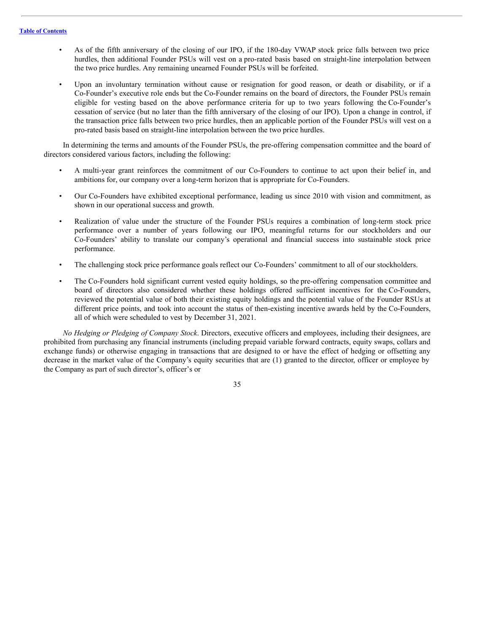- As of the fifth anniversary of the closing of our IPO, if the 180-day VWAP stock price falls between two price hurdles, then additional Founder PSUs will vest on a pro-rated basis based on straight-line interpolation between the two price hurdles. Any remaining unearned Founder PSUs will be forfeited.
- Upon an involuntary termination without cause or resignation for good reason, or death or disability, or if a Co-Founder's executive role ends but the Co-Founder remains on the board of directors, the Founder PSUs remain eligible for vesting based on the above performance criteria for up to two years following the Co-Founder's cessation of service (but no later than the fifth anniversary of the closing of our IPO). Upon a change in control, if the transaction price falls between two price hurdles, then an applicable portion of the Founder PSUs will vest on a pro-rated basis based on straight-line interpolation between the two price hurdles.

In determining the terms and amounts of the Founder PSUs, the pre-offering compensation committee and the board of directors considered various factors, including the following:

- A multi-year grant reinforces the commitment of our Co-Founders to continue to act upon their belief in, and ambitions for, our company over a long-term horizon that is appropriate for Co-Founders.
- Our Co-Founders have exhibited exceptional performance, leading us since 2010 with vision and commitment, as shown in our operational success and growth.
- Realization of value under the structure of the Founder PSUs requires a combination of long-term stock price performance over a number of years following our IPO, meaningful returns for our stockholders and our Co-Founders' ability to translate our company's operational and financial success into sustainable stock price performance.
- The challenging stock price performance goals reflect our Co-Founders' commitment to all of our stockholders.
- The Co-Founders hold significant current vested equity holdings, so the pre-offering compensation committee and board of directors also considered whether these holdings offered sufficient incentives for the Co-Founders, reviewed the potential value of both their existing equity holdings and the potential value of the Founder RSUs at different price points, and took into account the status of then-existing incentive awards held by the Co-Founders, all of which were scheduled to vest by December 31, 2021.

*No Hedging or Pledging of Company Stock*. Directors, executive officers and employees, including their designees, are prohibited from purchasing any financial instruments (including prepaid variable forward contracts, equity swaps, collars and exchange funds) or otherwise engaging in transactions that are designed to or have the effect of hedging or offsetting any decrease in the market value of the Company's equity securities that are (1) granted to the director, officer or employee by the Company as part of such director's, officer's or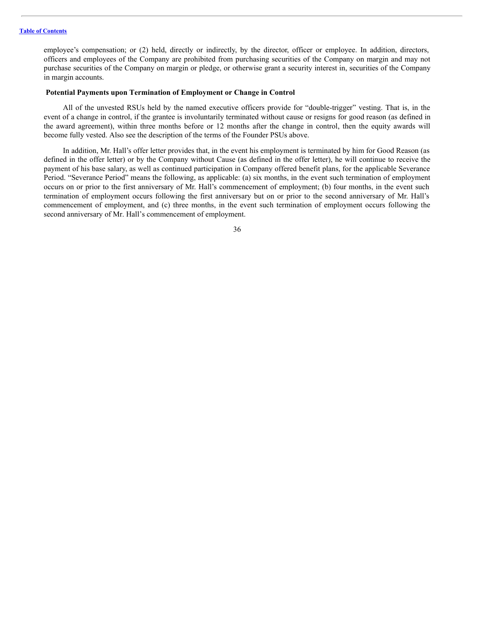#### **Table of [Contents](#page-3-0)**

employee's compensation; or (2) held, directly or indirectly, by the director, officer or employee. In addition, directors, officers and employees of the Company are prohibited from purchasing securities of the Company on margin and may not purchase securities of the Company on margin or pledge, or otherwise grant a security interest in, securities of the Company in margin accounts.

### <span id="page-40-0"></span>**Potential Payments upon Termination of Employment or Change in Control**

All of the unvested RSUs held by the named executive officers provide for "double-trigger" vesting. That is, in the event of a change in control, if the grantee is involuntarily terminated without cause or resigns for good reason (as defined in the award agreement), within three months before or 12 months after the change in control, then the equity awards will become fully vested. Also see the description of the terms of the Founder PSUs above.

In addition, Mr. Hall's offer letter provides that, in the event his employment is terminated by him for Good Reason (as defined in the offer letter) or by the Company without Cause (as defined in the offer letter), he will continue to receive the payment of his base salary, as well as continued participation in Company offered benefit plans, for the applicable Severance Period. "Severance Period" means the following, as applicable: (a) six months, in the event such termination of employment occurs on or prior to the first anniversary of Mr. Hall's commencement of employment; (b) four months, in the event such termination of employment occurs following the first anniversary but on or prior to the second anniversary of Mr. Hall's commencement of employment, and (c) three months, in the event such termination of employment occurs following the second anniversary of Mr. Hall's commencement of employment.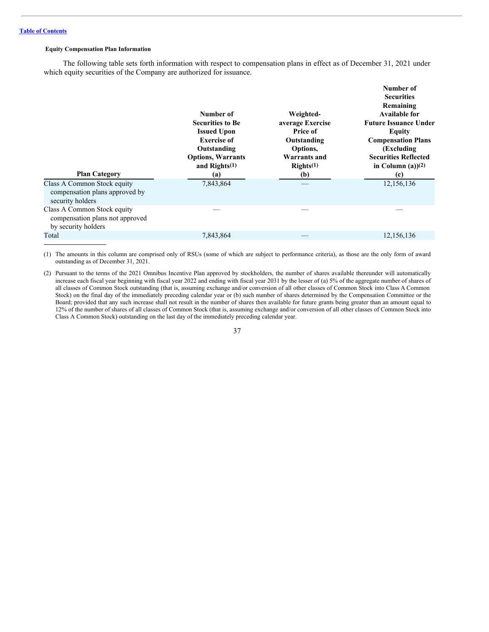# <span id="page-41-0"></span>**Equity Compensation Plan Information**

The following table sets forth information with respect to compensation plans in effect as of December 31, 2021 under which equity securities of the Company are authorized for issuance.

|                                                                                       |                          |                  | Number of                    |
|---------------------------------------------------------------------------------------|--------------------------|------------------|------------------------------|
|                                                                                       |                          |                  | <b>Securities</b>            |
|                                                                                       |                          |                  | Remaining                    |
|                                                                                       | Number of                | Weighted-        | Available for                |
|                                                                                       | <b>Securities to Be</b>  | average Exercise | <b>Future Issuance Under</b> |
|                                                                                       | <b>Issued Upon</b>       | <b>Price of</b>  | <b>Equity</b>                |
|                                                                                       | <b>Exercise of</b>       | Outstanding      | <b>Compensation Plans</b>    |
|                                                                                       | Outstanding              | Options,         | (Excluding                   |
|                                                                                       | <b>Options, Warrants</b> | Warrants and     | <b>Securities Reflected</b>  |
|                                                                                       | and $Right(s(1))$        | Rights(1)        | in Column $(a)$ ) $(2)$      |
| <b>Plan Category</b>                                                                  | (a)                      | (b)              | (c)                          |
| Class A Common Stock equity<br>compensation plans approved by<br>security holders     | 7,843,864                |                  | 12,156,136                   |
| Class A Common Stock equity<br>compensation plans not approved<br>by security holders |                          |                  |                              |
| Total                                                                                 | 7,843,864                |                  | 12,156,136                   |
|                                                                                       |                          |                  |                              |

(1) The amounts in this column are comprised only of RSUs (some of which are subject to performance criteria), as those are the only form of award outstanding as of December 31, 2021.

(2) Pursuant to the terms of the 2021 Omnibus Incentive Plan approved by stockholders, the number of shares available thereunder will automatically increase each fiscal year beginning with fiscal year 2022 and ending with fiscal year 2031 by the lesser of (a) 5% of the aggregate number of shares of all classes of Common Stock outstanding (that is, assuming exchange and/or conversion of all other classes of Common Stock into Class A Common Stock) on the final day of the immediately preceding calendar year or (b) such number of shares determined by the Compensation Committee or the Board; provided that any such increase shall not result in the number of shares then available for future grants being greater than an amount equal to 12% of the number of shares of all classes of Common Stock (that is, assuming exchange and/or conversion of all other classes of Common Stock into Class A Common Stock) outstanding on the last day of the immediately preceding calendar year.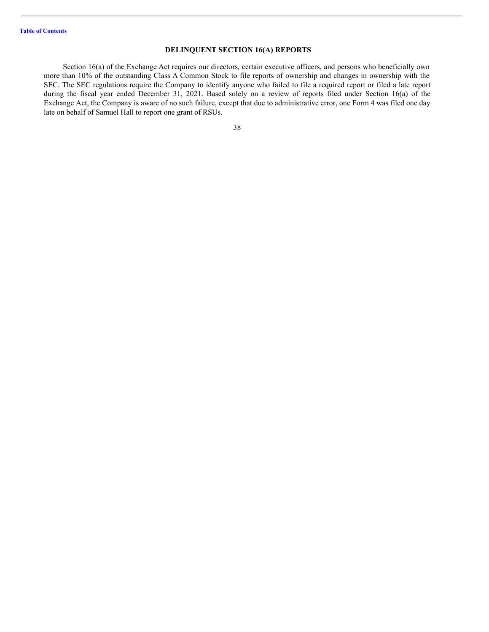# <span id="page-42-0"></span>**DELINQUENT SECTION 16(A) REPORTS**

Section 16(a) of the Exchange Act requires our directors, certain executive officers, and persons who beneficially own more than 10% of the outstanding Class A Common Stock to file reports of ownership and changes in ownership with the SEC. The SEC regulations require the Company to identify anyone who failed to file a required report or filed a late report during the fiscal year ended December 31, 2021. Based solely on a review of reports filed under Section 16(a) of the Exchange Act, the Company is aware of no such failure, except that due to administrative error, one Form 4 was filed one day late on behalf of Samuel Hall to report one grant of RSUs.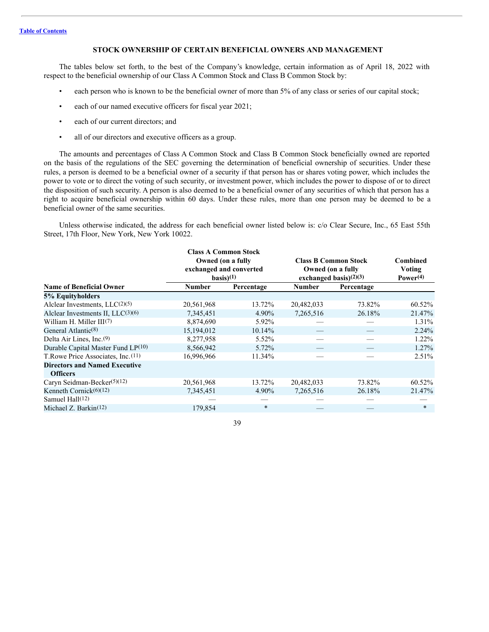# <span id="page-43-0"></span>**STOCK OWNERSHIP OF CERTAIN BENEFICIAL OWNERS AND MANAGEMENT**

The tables below set forth, to the best of the Company's knowledge, certain information as of April 18, 2022 with respect to the beneficial ownership of our Class A Common Stock and Class B Common Stock by:

- each person who is known to be the beneficial owner of more than 5% of any class or series of our capital stock;
- each of our named executive officers for fiscal year 2021;
- each of our current directors; and
- all of our directors and executive officers as a group.

The amounts and percentages of Class A Common Stock and Class B Common Stock beneficially owned are reported on the basis of the regulations of the SEC governing the determination of beneficial ownership of securities. Under these rules, a person is deemed to be a beneficial owner of a security if that person has or shares voting power, which includes the power to vote or to direct the voting of such security, or investment power, which includes the power to dispose of or to direct the disposition of such security. A person is also deemed to be a beneficial owner of any securities of which that person has a right to acquire beneficial ownership within 60 days. Under these rules, more than one person may be deemed to be a beneficial owner of the same securities.

Unless otherwise indicated, the address for each beneficial owner listed below is: c/o Clear Secure, Inc., 65 East 55th Street, 17th Floor, New York, New York 10022.

|                                         |                   | <b>Class A Common Stock</b> |                                                                              |            |                                                   |  |
|-----------------------------------------|-------------------|-----------------------------|------------------------------------------------------------------------------|------------|---------------------------------------------------|--|
|                                         | Owned (on a fully |                             | <b>Class B Common Stock</b><br>Owned (on a fully<br>exchanged basis $(2)(3)$ |            | Combined<br><b>Voting</b><br>Power <sup>(4)</sup> |  |
|                                         |                   | exchanged and converted     |                                                                              |            |                                                   |  |
|                                         |                   | basis(1)                    |                                                                              |            |                                                   |  |
| <b>Name of Beneficial Owner</b>         | <b>Number</b>     | Percentage                  | <b>Number</b>                                                                | Percentage |                                                   |  |
| 5% Equityholders                        |                   |                             |                                                                              |            |                                                   |  |
| Alclear Investments, LLC(2)(5)          | 20,561,968        | 13.72%                      | 20,482,033                                                                   | 73.82%     | 60.52%                                            |  |
| Alclear Investments II, $LLC^{(3)(6)}$  | 7,345,451         | 4.90%                       | 7,265,516                                                                    | 26.18%     | 21.47%                                            |  |
| William H. Miller $III(7)$              | 8,874,690         | 5.92%                       |                                                                              |            | 1.31%                                             |  |
| General Atlantic(8)                     | 15,194,012        | 10.14%                      |                                                                              |            | 2.24%                                             |  |
| Delta Air Lines, Inc. <sup>(9)</sup>    | 8,277,958         | 5.52%                       |                                                                              |            | $1.22\%$                                          |  |
| Durable Capital Master Fund LP(10)      | 8,566,942         | 5.72%                       |                                                                              |            | $1.27\%$                                          |  |
| T.Rowe Price Associates, Inc. (11)      | 16,996,966        | 11.34%                      |                                                                              |            | 2.51%                                             |  |
| <b>Directors and Named Executive</b>    |                   |                             |                                                                              |            |                                                   |  |
| <b>Officers</b>                         |                   |                             |                                                                              |            |                                                   |  |
| Caryn Seidman-Becker <sup>(5)(12)</sup> | 20,561,968        | 13.72%                      | 20,482,033                                                                   | 73.82%     | 60.52%                                            |  |
| Kenneth Cornick(6)(12)                  | 7,345,451         | 4.90%                       | 7,265,516                                                                    | 26.18%     | 21.47%                                            |  |
| Samuel Hall $(12)$                      |                   |                             |                                                                              |            |                                                   |  |
| Michael Z. Barkin $(12)$                | 179,854           | $\ast$                      |                                                                              |            | $\ast$                                            |  |
|                                         |                   |                             |                                                                              |            |                                                   |  |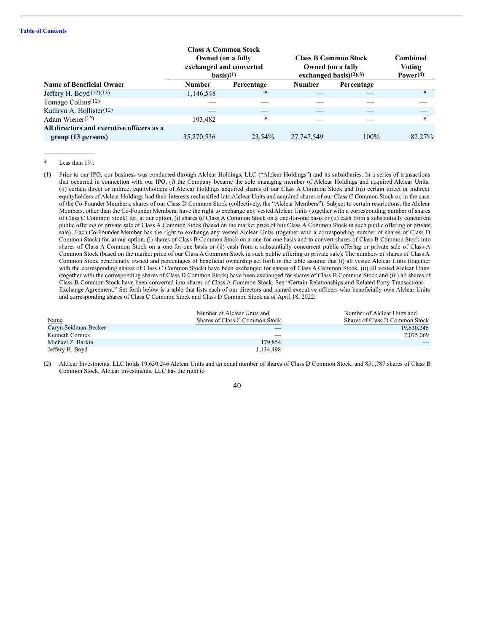|                                           |            | <b>Class A Common Stock</b><br>Owned (on a fully<br>exchanged and converted<br>basis(1) | <b>Class B Common Stock</b><br>Owned (on a fully<br>exchanged basis) $(2)(3)$ |            | <b>Combined</b><br>Voting<br>Power <sup>(4)</sup> |  |
|-------------------------------------------|------------|-----------------------------------------------------------------------------------------|-------------------------------------------------------------------------------|------------|---------------------------------------------------|--|
| <b>Name of Beneficial Owner</b>           | Number     | Percentage                                                                              | <b>Number</b>                                                                 | Percentage |                                                   |  |
| Jeffery H. Boyd $(12)(13)$                | 1,146,548  | $\ast$                                                                                  |                                                                               |            | $\ast$                                            |  |
| Tomago Collins <sup>(12)</sup>            |            |                                                                                         |                                                                               |            |                                                   |  |
| Kathryn A. Hollister(12)                  |            |                                                                                         |                                                                               |            |                                                   |  |
| Adam Wiener $(12)$                        | 193.482    | $\ast$                                                                                  |                                                                               |            | $\ast$                                            |  |
| All directors and executive officers as a |            |                                                                                         |                                                                               |            |                                                   |  |
| group (13 persons)                        | 35,270,536 | 23.54%                                                                                  | 27,747,549                                                                    | $100\%$    | 82.27%                                            |  |

Less than  $1\%$ .

(1) Prior to our IPO, our business was conducted through Alclear Holdings, LLC ("Alclear Holdings") and its subsidiaries. In a series of transactions that occurred in connection with our IPO, (i) the Company became the sole managing member of Alclear Holdings and acquired Alclear Units, (ii) certain direct or indirect equityholders of Alclear Holdings acquired shares of our Class A Common Stock and (iii) certain direct or indirect equityholders of Alclear Holdings had their interests reclassified into Alclear Units and acquired shares of our Class C Common Stock or, in the case of the Co-Founder Members, shares of our Class D Common Stock (collectively, the "Alclear Members"). Subject to certain restrictions, the Alclear Members, other than the Co-Founder Members, have the right to exchange any vested Alclear Units (together with a corresponding number of shares of Class C Common Stock) for, at our option, (i) shares of Class A Common Stock on a one-for-one basis or (ii) cash from a substantially concurrent public offering or private sale of Class A Common Stock (based on the market price of our Class A Common Stock in such public offering or private sale). Each Co-Founder Member has the right to exchange any vested Alclear Units (together with a corresponding number of shares of Class D Common Stock) for, at our option, (i) shares of Class B Common Stock on a one-for-one basis and to convert shares of Class B Common Stock into shares of Class A Common Stock on a one-for-one basis or (ii) cash from a substantially concurrent public offering or private sale of Class A Common Stock (based on the market price of our Class A Common Stock in such public offering or private sale). The numbers of shares of Class A Common Stock beneficially owned and percentages of beneficial ownership set forth in the table assume that (i) all vested Alclear Units (together with the corresponding shares of Class C Common Stock) have been exchanged for shares of Class A Common Stock, (ii) all vested Alclear Units (together with the corresponding shares of Class D Common Stock) have been exchanged for shares of Class B Common Stock and (iii) all shares of Class B Common Stock have been converted into shares of Class A Common Stock. See "Certain Relationships and Related Party Transactions— Exchange Agreement." Set forth below is a table that lists each of our directors and named executive officers who beneficially own Alclear Units and corresponding shares of Class C Common Stock and Class D Common Stock as of April 18, 2022:

|                      | Number of Alclear Units and    | Number of Alclear Units and    |
|----------------------|--------------------------------|--------------------------------|
| Name                 | Shares of Class C Common Stock | Shares of Class D Common Stock |
| Caryn Seidman-Becker |                                | 19.630.246                     |
| Kenneth Cornick      |                                | 7.075.069                      |
| Michael Z. Barkin    | 179.854                        |                                |
| Jeffery H. Boyd      | 1.134.498                      |                                |

(2) Alclear Investments, LLC holds 19,630,246 Alclear Units and an equal number of shares of Class D Common Stock, and 851,787 shares of Class B Common Stock. Alclear Investments, LLC has the right to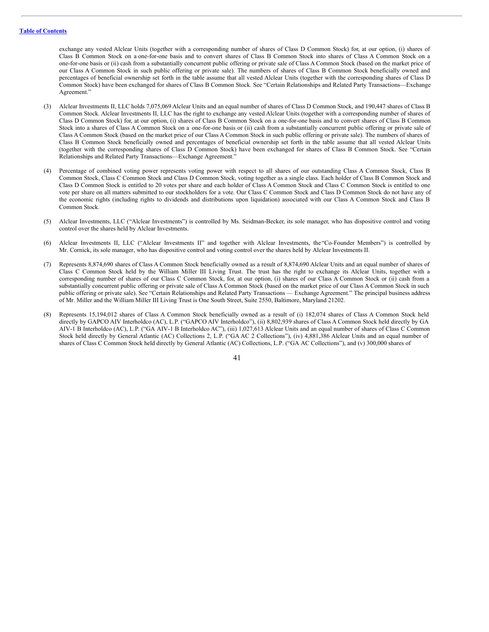exchange any vested Alclear Units (together with a corresponding number of shares of Class D Common Stock) for, at our option, (i) shares of Class B Common Stock on a one-for-one basis and to convert shares of Class B Common Stock into shares of Class A Common Stock on a one-for-one basis or (ii) cash from a substantially concurrent public offering or private sale of Class A Common Stock (based on the market price of our Class A Common Stock in such public offering or private sale). The numbers of shares of Class B Common Stock beneficially owned and percentages of beneficial ownership set forth in the table assume that all vested Alclear Units (together with the corresponding shares of Class D Common Stock) have been exchanged for shares of Class B Common Stock. See "Certain Relationships and Related Party Transactions—Exchange Agreement."

- (3) Alclear Investments II, LLC holds 7,075,069 Alclear Units and an equal number of shares of Class D Common Stock, and 190,447 shares of Class B Common Stock. Alclear Investments II, LLC has the right to exchange any vested Alclear Units (together with a corresponding number of shares of Class D Common Stock) for, at our option, (i) shares of Class B Common Stock on a one-for-one basis and to convert shares of Class B Common Stock into a shares of Class A Common Stock on a one-for-one basis or (ii) cash from a substantially concurrent public offering or private sale of Class A Common Stock (based on the market price of our Class A Common Stock in such public offering or private sale). The numbers of shares of Class B Common Stock beneficially owned and percentages of beneficial ownership set forth in the table assume that all vested Alclear Units (together with the corresponding shares of Class D Common Stock) have been exchanged for shares of Class B Common Stock. See "Certain Relationships and Related Party Transactions—Exchange Agreement."
- (4) Percentage of combined voting power represents voting power with respect to all shares of our outstanding Class A Common Stock, Class B Common Stock, Class C Common Stock and Class D Common Stock, voting together as a single class. Each holder of Class B Common Stock and Class D Common Stock is entitled to 20 votes per share and each holder of Class A Common Stock and Class C Common Stock is entitled to one vote per share on all matters submitted to our stockholders for a vote. Our Class C Common Stock and Class D Common Stock do not have any of the economic rights (including rights to dividends and distributions upon liquidation) associated with our Class A Common Stock and Class B Common Stock.
- (5) Alclear Investments, LLC ("Alclear Investments") is controlled by Ms. Seidman-Becker, its sole manager, who has dispositive control and voting control over the shares held by Alclear Investments.
- (6) Alclear Investments II, LLC ("Alclear Investments II" and together with Alclear Investments, the "Co-Founder Members") is controlled by Mr. Cornick, its sole manager, who has dispositive control and voting control over the shares held by Alclear Investments II.
- (7) Represents 8,874,690 shares of Class A Common Stock beneficially owned as a result of 8,874,690 Alclear Units and an equal number of shares of Class C Common Stock held by the William Miller III Living Trust. The trust has the right to exchange its Alclear Units, together with a corresponding number of shares of our Class C Common Stock, for, at our option, (i) shares of our Class A Common Stock or (ii) cash from a substantially concurrent public offering or private sale of Class A Common Stock (based on the market price of our Class A Common Stock in such public offering or private sale). See "Certain Relationships and Related Party Transactions — Exchange Agreement." The principal business address of Mr. Miller and the William Miller III Living Trust is One South Street, Suite 2550, Baltimore, Maryland 21202.
- (8) Represents 15,194,012 shares of Class A Common Stock beneficially owned as a result of (i) 182,074 shares of Class A Common Stock held directly by GAPCO AIV Interholdco (AC), L.P. ("GAPCO AIV Interholdco"), (ii) 8,802,939 shares of Class A Common Stock held directly by GA AIV-1 B Interholdco (AC), L.P. ("GA AIV-1 B Interholdco AC"), (iii) 1,027,613 Alclear Units and an equal number of shares of Class C Common Stock held directly by General Atlantic (AC) Collections 2, L.P. ("GA AC 2 Collections"), (iv) 4,881,386 Alclear Units and an equal number of shares of Class C Common Stock held directly by General Atlantic (AC) Collections, L.P. ("GA AC Collections"), and (v) 300,000 shares of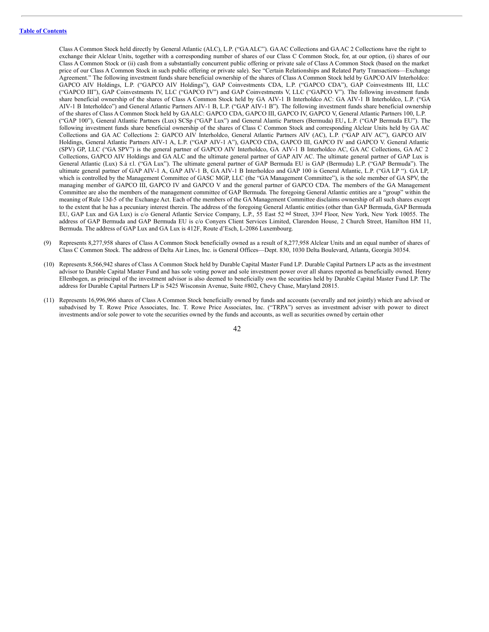Class A Common Stock held directly by General Atlantic (ALC), L.P. ("GAALC"). GAAC Collections and GAAC 2 Collections have the right to exchange their Alclear Units, together with a corresponding number of shares of our Class C Common Stock, for, at our option, (i) shares of our Class A Common Stock or (ii) cash from a substantially concurrent public offering or private sale of Class A Common Stock (based on the market price of our Class A Common Stock in such public offering or private sale). See "Certain Relationships and Related Party Transactions—Exchange Agreement." The following investment funds share beneficial ownership of the shares of Class A Common Stock held by GAPCO AIV Interholdco: GAPCO AIV Holdings, L.P. ("GAPCO AIV Holdings"), GAP Coinvestments CDA, L.P. ("GAPCO CDA"), GAP Coinvestments III, LLC ("GAPCO III"), GAP Coinvestments IV, LLC ("GAPCO IV") and GAP Coinvestments V, LLC ("GAPCO V"). The following investment funds share beneficial ownership of the shares of Class A Common Stock held by GA AIV-1 B Interholdco AC: GA AIV-1 B Interholdco, L.P. ("GA AIV-1 B Interholdco") and General Atlantic Partners AIV-1 B, L.P. ("GAP AIV-1 B"). The following investment funds share beneficial ownership of the shares of Class A Common Stock held by GAALC: GAPCO CDA, GAPCO III, GAPCO IV, GAPCO V, General Atlantic Partners 100, L.P. ("GAP 100"), General Atlantic Partners (Lux) SCSp ("GAP Lux") and General Alantic Partners (Bermuda) EU**,** L.P. ("GAP Bermuda EU"). The following investment funds share beneficial ownership of the shares of Class C Common Stock and corresponding Alclear Units held by GA AC Collections and GA AC Collections 2: GAPCO AIV Interholdco, General Atlantic Partners AIV (AC), L.P. ("GAP AIV AC"), GAPCO AIV Holdings, General Atlantic Partners AIV-1 A, L.P. ("GAP AIV-1 A"), GAPCO CDA, GAPCO III, GAPCO IV and GAPCO V. General Atlantic (SPV) GP, LLC ("GA SPV") is the general partner of GAPCO AIV Interholdco, GA AIV-1 B Interholdco AC, GA AC Collections, GA AC 2 Collections, GAPCO AIV Holdings and GA ALC and the ultimate general partner of GAP AIV AC. The ultimate general partner of GAP Lux is General Atlantic (Lux) S.à r.l. ("GA Lux"). The ultimate general partner of GAP Bermuda EU is GAP (Bermuda) L.P. ("GAP Bermuda"). The ultimate general partner of GAP AIV-1 A, GAP AIV-1 B, GA AIV-1 B Interholdco and GAP 100 is General Atlantic, L.P. ("GA LP "). GA LP, which is controlled by the Management Committee of GASC MGP, LLC (the "GA Management Committee"), is the sole member of GA SPV, the managing member of GAPCO III, GAPCO IV and GAPCO V and the general partner of GAPCO CDA. The members of the GA Management Committee are also the members of the management committee of GAP Bermuda. The foregoing General Atlantic entities are a "group" within the meaning of Rule 13d-5 of the Exchange Act. Each of the members of the GA Management Committee disclaims ownership of all such shares except to the extent that he has a pecuniary interest therein. The address of the foregoing General Atlantic entities (other than GAP Bermuda, GAP Bermuda EU, GAP Lux and GA Lux) is c/o General Atlantic Service Company, L.P., 55 East 52 nd Street, 33rd Floor, New York, New York 10055. The address of GAP Bermuda and GAP Bermuda EU is c/o Conyers Client Services Limited, Clarendon House, 2 Church Street, Hamilton HM 11, Bermuda. The address of GAP Lux and GA Lux is 412F, Route d'Esch, L-2086 Luxembourg.

- (9) Represents 8,277,958 shares of Class A Common Stock beneficially owned as a result of 8,277,958 Alclear Units and an equal number of shares of Class C Common Stock. The address of Delta Air Lines, Inc. is General Offices—Dept. 830, 1030 Delta Boulevard, Atlanta, Georgia 30354.
- (10) Represents 8,566,942 shares of Class A Common Stock held by Durable Capital Master Fund LP. Durable Capital Partners LP acts as the investment advisor to Durable Capital Master Fund and has sole voting power and sole investment power over all shares reported as beneficially owned. Henry Ellenbogen, as principal of the investment advisor is also deemed to beneficially own the securities held by Durable Capital Master Fund LP. The address for Durable Capital Partners LP is 5425 Wisconsin Avenue, Suite #802, Chevy Chase, Maryland 20815.
- (11) Represents 16,996,966 shares of Class A Common Stock beneficially owned by funds and accounts (severally and not jointly) which are advised or subadvised by T. Rowe Price Associates, Inc. T. Rowe Price Associates, Inc. ("TRPA") serves as investment adviser with power to direct investments and/or sole power to vote the securities owned by the funds and accounts, as well as securities owned by certain other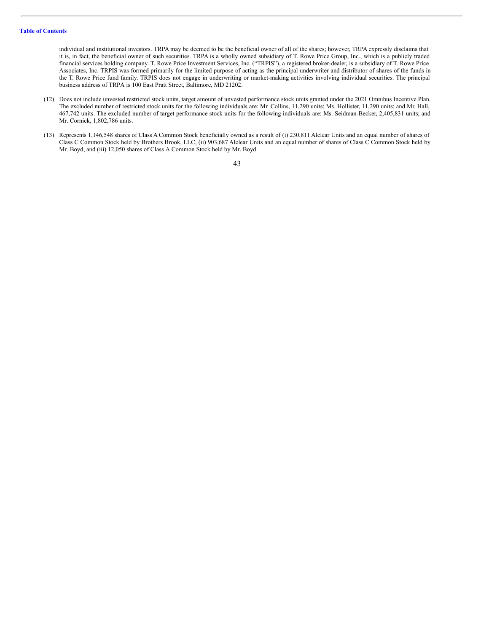individual and institutional investors. TRPA may be deemed to be the beneficial owner of all of the shares; however, TRPA expressly disclaims that it is, in fact, the beneficial owner of such securities. TRPA is a wholly owned subsidiary of T. Rowe Price Group, Inc., which is a publicly traded financial services holding company. T. Rowe Price Investment Services, Inc. ("TRPIS"), a registered broker-dealer, is a subsidiary of T. Rowe Price Associates, Inc. TRPIS was formed primarily for the limited purpose of acting as the principal underwriter and distributor of shares of the funds in the T. Rowe Price fund family. TRPIS does not engage in underwriting or market-making activities involving individual securities. The principal business address of TRPA is 100 East Pratt Street, Baltimore, MD 21202.

- (12) Does not include unvested restricted stock units, target amount of unvested performance stock units granted under the 2021 Omnibus Incentive Plan. The excluded number of restricted stock units for the following individuals are: Mr. Collins, 11,290 units; Ms. Hollister, 11,290 units; and Mr. Hall, 467,742 units. The excluded number of target performance stock units for the following individuals are: Ms. Seidman-Becker, 2,405,831 units; and Mr. Cornick, 1,802,786 units.
- (13) Represents 1,146,548 shares of Class A Common Stock beneficially owned as a result of (i) 230,811 Alclear Units and an equal number of shares of Class C Common Stock held by Brothers Brook, LLC, (ii) 903,687 Alclear Units and an equal number of shares of Class C Common Stock held by Mr. Boyd, and (iii) 12,050 shares of Class A Common Stock held by Mr. Boyd.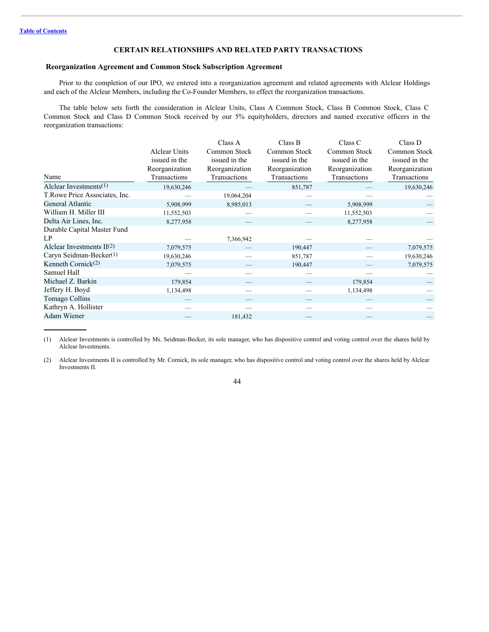# <span id="page-48-0"></span>**CERTAIN RELATIONSHIPS AND RELATED PARTY TRANSACTIONS**

#### <span id="page-48-1"></span>**Reorganization Agreement and Common Stock Subscription Agreement**

Prior to the completion of our IPO, we entered into a reorganization agreement and related agreements with Alclear Holdings and each of the Alclear Members, including the Co-Founder Members, to effect the reorganization transactions.

The table below sets forth the consideration in Alclear Units, Class A Common Stock, Class B Common Stock, Class C Common Stock and Class D Common Stock received by our 5% equityholders, directors and named executive officers in the reorganization transactions:

| Common Stock<br>Common Stock<br>Common Stock<br><b>Alclear Units</b> | Common Stock   |
|----------------------------------------------------------------------|----------------|
|                                                                      |                |
| issued in the<br>issued in the<br>issued in the<br>issued in the     | issued in the  |
| Reorganization<br>Reorganization<br>Reorganization<br>Reorganization | Reorganization |
| Name<br>Transactions<br>Transactions<br>Transactions<br>Transactions | Transactions   |
| Alclear Investments $(1)$<br>19,630,246<br>851,787                   | 19,630,246     |
| T.Rowe Price Associates, Inc.<br>19,064,204                          |                |
| General Atlantic<br>5,908,999<br>8,985,013<br>5,908,999              |                |
| William H. Miller III<br>11,552,503<br>11,552,503                    |                |
| Delta Air Lines, Inc.<br>8,277,958<br>8,277,958                      |                |
| Durable Capital Master Fund                                          |                |
| LP<br>7,366,942                                                      |                |
| Alclear Investments $II(2)$<br>7,079,575<br>190,447                  | 7,079,575      |
| Caryn Seidman-Becker <sup>(1)</sup><br>19,630,246<br>851,787         | 19,630,246     |
| Kenneth Cornick <sup>(2)</sup><br>190,447<br>7,079,575               | 7,079,575      |
| Samuel Hall                                                          |                |
| Michael Z. Barkin<br>179,854<br>179,854                              |                |
| Jeffery H. Boyd<br>1,134,498<br>1,134,498                            |                |
| Tomago Collins                                                       |                |
| Kathryn A. Hollister                                                 |                |
| <b>Adam Wiener</b><br>181,432                                        |                |

<sup>(1)</sup> Alclear Investments is controlled by Ms. Seidman-Becker, its sole manager, who has dispositive control and voting control over the shares held by Alclear Investments.

(2) Alclear Investments II is controlled by Mr. Cornick, its sole manager, who has dispositive control and voting control over the shares held by Alclear Investments II.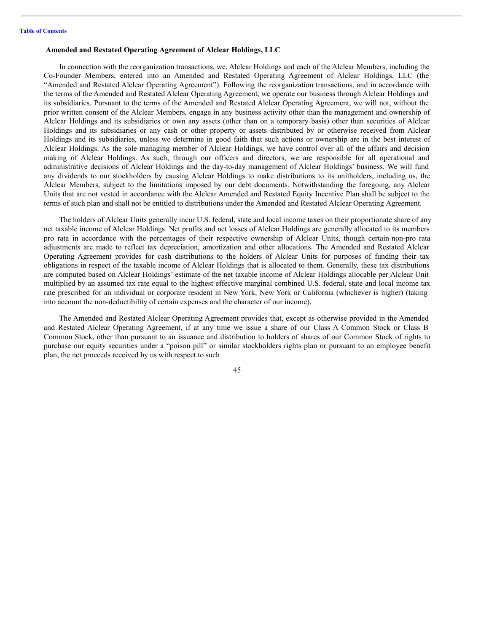#### <span id="page-49-0"></span>**Amended and Restated Operating Agreement of Alclear Holdings, LLC**

In connection with the reorganization transactions, we, Alclear Holdings and each of the Alclear Members, including the Co-Founder Members, entered into an Amended and Restated Operating Agreement of Alclear Holdings, LLC (the "Amended and Restated Alclear Operating Agreement"). Following the reorganization transactions, and in accordance with the terms of the Amended and Restated Alclear Operating Agreement, we operate our business through Alclear Holdings and its subsidiaries. Pursuant to the terms of the Amended and Restated Alclear Operating Agreement, we will not, without the prior written consent of the Alclear Members, engage in any business activity other than the management and ownership of Alclear Holdings and its subsidiaries or own any assets (other than on a temporary basis) other than securities of Alclear Holdings and its subsidiaries or any cash or other property or assets distributed by or otherwise received from Alclear Holdings and its subsidiaries, unless we determine in good faith that such actions or ownership are in the best interest of Alclear Holdings. As the sole managing member of Alclear Holdings, we have control over all of the affairs and decision making of Alclear Holdings. As such, through our officers and directors, we are responsible for all operational and administrative decisions of Alclear Holdings and the day-to-day management of Alclear Holdings' business. We will fund any dividends to our stockholders by causing Alclear Holdings to make distributions to its unitholders, including us, the Alclear Members, subject to the limitations imposed by our debt documents. Notwithstanding the foregoing, any Alclear Units that are not vested in accordance with the Alclear Amended and Restated Equity Incentive Plan shall be subject to the terms of such plan and shall not be entitled to distributions under the Amended and Restated Alclear Operating Agreement.

The holders of Alclear Units generally incur U.S. federal, state and local income taxes on their proportionate share of any net taxable income of Alclear Holdings. Net profits and net losses of Alclear Holdings are generally allocated to its members pro rata in accordance with the percentages of their respective ownership of Alclear Units, though certain non-pro rata adjustments are made to reflect tax depreciation, amortization and other allocations. The Amended and Restated Alclear Operating Agreement provides for cash distributions to the holders of Alclear Units for purposes of funding their tax obligations in respect of the taxable income of Alclear Holdings that is allocated to them. Generally, these tax distributions are computed based on Alclear Holdings' estimate of the net taxable income of Alclear Holdings allocable per Alclear Unit multiplied by an assumed tax rate equal to the highest effective marginal combined U.S. federal, state and local income tax rate prescribed for an individual or corporate resident in New York, New York or California (whichever is higher) (taking into account the non-deductibility of certain expenses and the character of our income).

The Amended and Restated Alclear Operating Agreement provides that, except as otherwise provided in the Amended and Restated Alclear Operating Agreement, if at any time we issue a share of our Class A Common Stock or Class B Common Stock, other than pursuant to an issuance and distribution to holders of shares of our Common Stock of rights to purchase our equity securities under a "poison pill" or similar stockholders rights plan or pursuant to an employee benefit plan, the net proceeds received by us with respect to such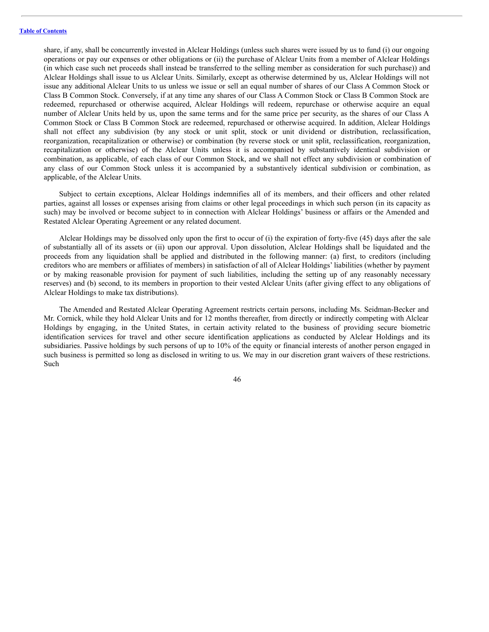share, if any, shall be concurrently invested in Alclear Holdings (unless such shares were issued by us to fund (i) our ongoing operations or pay our expenses or other obligations or (ii) the purchase of Alclear Units from a member of Alclear Holdings (in which case such net proceeds shall instead be transferred to the selling member as consideration for such purchase)) and Alclear Holdings shall issue to us Alclear Units. Similarly, except as otherwise determined by us, Alclear Holdings will not issue any additional Alclear Units to us unless we issue or sell an equal number of shares of our Class A Common Stock or Class B Common Stock. Conversely, if at any time any shares of our Class A Common Stock or Class B Common Stock are redeemed, repurchased or otherwise acquired, Alclear Holdings will redeem, repurchase or otherwise acquire an equal number of Alclear Units held by us, upon the same terms and for the same price per security, as the shares of our Class A Common Stock or Class B Common Stock are redeemed, repurchased or otherwise acquired. In addition, Alclear Holdings shall not effect any subdivision (by any stock or unit split, stock or unit dividend or distribution, reclassification, reorganization, recapitalization or otherwise) or combination (by reverse stock or unit split, reclassification, reorganization, recapitalization or otherwise) of the Alclear Units unless it is accompanied by substantively identical subdivision or combination, as applicable, of each class of our Common Stock, and we shall not effect any subdivision or combination of any class of our Common Stock unless it is accompanied by a substantively identical subdivision or combination, as applicable, of the Alclear Units.

Subject to certain exceptions, Alclear Holdings indemnifies all of its members, and their officers and other related parties, against all losses or expenses arising from claims or other legal proceedings in which such person (in its capacity as such) may be involved or become subject to in connection with Alclear Holdings' business or affairs or the Amended and Restated Alclear Operating Agreement or any related document.

Alclear Holdings may be dissolved only upon the first to occur of (i) the expiration of forty-five (45) days after the sale of substantially all of its assets or (ii) upon our approval. Upon dissolution, Alclear Holdings shall be liquidated and the proceeds from any liquidation shall be applied and distributed in the following manner: (a) first, to creditors (including creditors who are members or affiliates of members) in satisfaction of all of Alclear Holdings' liabilities (whether by payment or by making reasonable provision for payment of such liabilities, including the setting up of any reasonably necessary reserves) and (b) second, to its members in proportion to their vested Alclear Units (after giving effect to any obligations of Alclear Holdings to make tax distributions).

The Amended and Restated Alclear Operating Agreement restricts certain persons, including Ms. Seidman-Becker and Mr. Cornick, while they hold Alclear Units and for 12 months thereafter, from directly or indirectly competing with Alclear Holdings by engaging, in the United States, in certain activity related to the business of providing secure biometric identification services for travel and other secure identification applications as conducted by Alclear Holdings and its subsidiaries. Passive holdings by such persons of up to 10% of the equity or financial interests of another person engaged in such business is permitted so long as disclosed in writing to us. We may in our discretion grant waivers of these restrictions. Such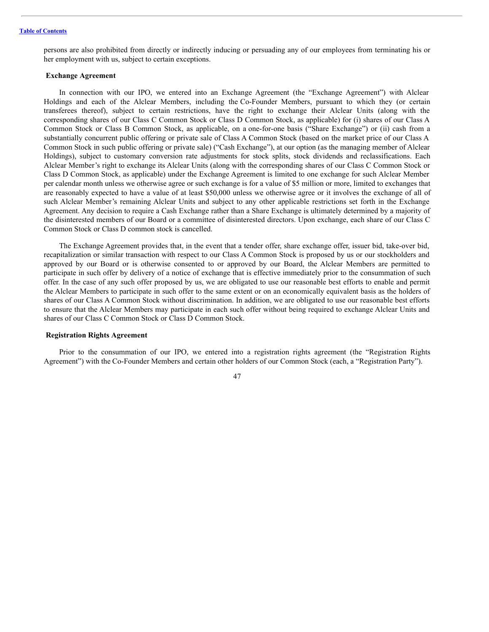persons are also prohibited from directly or indirectly inducing or persuading any of our employees from terminating his or her employment with us, subject to certain exceptions.

## <span id="page-51-0"></span>**Exchange Agreement**

In connection with our IPO, we entered into an Exchange Agreement (the "Exchange Agreement") with Alclear Holdings and each of the Alclear Members, including the Co-Founder Members, pursuant to which they (or certain transferees thereof), subject to certain restrictions, have the right to exchange their Alclear Units (along with the corresponding shares of our Class C Common Stock or Class D Common Stock, as applicable) for (i) shares of our Class A Common Stock or Class B Common Stock, as applicable, on a one-for-one basis ("Share Exchange") or (ii) cash from a substantially concurrent public offering or private sale of Class A Common Stock (based on the market price of our Class A Common Stock in such public offering or private sale) ("Cash Exchange"), at our option (as the managing member of Alclear Holdings), subject to customary conversion rate adjustments for stock splits, stock dividends and reclassifications. Each Alclear Member's right to exchange its Alclear Units (along with the corresponding shares of our Class C Common Stock or Class D Common Stock, as applicable) under the Exchange Agreement is limited to one exchange for such Alclear Member per calendar month unless we otherwise agree or such exchange is for a value of \$5 million or more, limited to exchanges that are reasonably expected to have a value of at least \$50,000 unless we otherwise agree or it involves the exchange of all of such Alclear Member's remaining Alclear Units and subject to any other applicable restrictions set forth in the Exchange Agreement. Any decision to require a Cash Exchange rather than a Share Exchange is ultimately determined by a majority of the disinterested members of our Board or a committee of disinterested directors. Upon exchange, each share of our Class C Common Stock or Class D common stock is cancelled.

The Exchange Agreement provides that, in the event that a tender offer, share exchange offer, issuer bid, take-over bid, recapitalization or similar transaction with respect to our Class A Common Stock is proposed by us or our stockholders and approved by our Board or is otherwise consented to or approved by our Board, the Alclear Members are permitted to participate in such offer by delivery of a notice of exchange that is effective immediately prior to the consummation of such offer. In the case of any such offer proposed by us, we are obligated to use our reasonable best efforts to enable and permit the Alclear Members to participate in such offer to the same extent or on an economically equivalent basis as the holders of shares of our Class A Common Stock without discrimination. In addition, we are obligated to use our reasonable best efforts to ensure that the Alclear Members may participate in each such offer without being required to exchange Alclear Units and shares of our Class C Common Stock or Class D Common Stock.

#### <span id="page-51-1"></span>**Registration Rights Agreement**

Prior to the consummation of our IPO, we entered into a registration rights agreement (the "Registration Rights Agreement") with the Co-Founder Members and certain other holders of our Common Stock (each, a "Registration Party").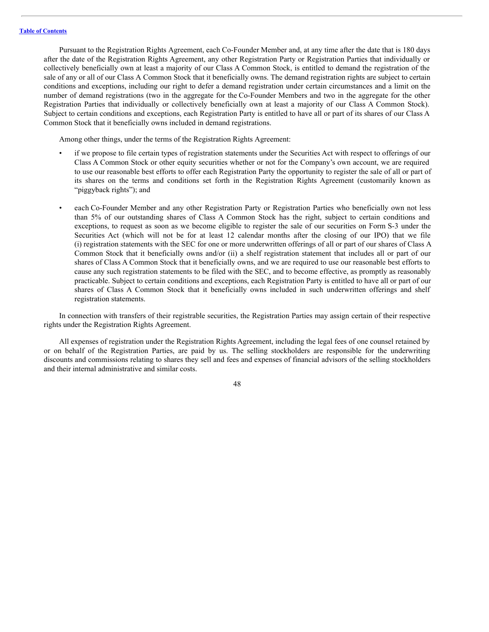Pursuant to the Registration Rights Agreement, each Co-Founder Member and, at any time after the date that is 180 days after the date of the Registration Rights Agreement, any other Registration Party or Registration Parties that individually or collectively beneficially own at least a majority of our Class A Common Stock, is entitled to demand the registration of the sale of any or all of our Class A Common Stock that it beneficially owns. The demand registration rights are subject to certain conditions and exceptions, including our right to defer a demand registration under certain circumstances and a limit on the number of demand registrations (two in the aggregate for the Co-Founder Members and two in the aggregate for the other Registration Parties that individually or collectively beneficially own at least a majority of our Class A Common Stock). Subject to certain conditions and exceptions, each Registration Party is entitled to have all or part of its shares of our Class A Common Stock that it beneficially owns included in demand registrations.

Among other things, under the terms of the Registration Rights Agreement:

- if we propose to file certain types of registration statements under the Securities Act with respect to offerings of our Class A Common Stock or other equity securities whether or not for the Company's own account, we are required to use our reasonable best efforts to offer each Registration Party the opportunity to register the sale of all or part of its shares on the terms and conditions set forth in the Registration Rights Agreement (customarily known as "piggyback rights"); and
- each Co-Founder Member and any other Registration Party or Registration Parties who beneficially own not less than 5% of our outstanding shares of Class A Common Stock has the right, subject to certain conditions and exceptions, to request as soon as we become eligible to register the sale of our securities on Form S-3 under the Securities Act (which will not be for at least 12 calendar months after the closing of our IPO) that we file (i) registration statements with the SEC for one or more underwritten offerings of all or part of our shares of Class A Common Stock that it beneficially owns and/or (ii) a shelf registration statement that includes all or part of our shares of Class A Common Stock that it beneficially owns, and we are required to use our reasonable best efforts to cause any such registration statements to be filed with the SEC, and to become effective, as promptly as reasonably practicable. Subject to certain conditions and exceptions, each Registration Party is entitled to have all or part of our shares of Class A Common Stock that it beneficially owns included in such underwritten offerings and shelf registration statements.

In connection with transfers of their registrable securities, the Registration Parties may assign certain of their respective rights under the Registration Rights Agreement.

All expenses of registration under the Registration Rights Agreement, including the legal fees of one counsel retained by or on behalf of the Registration Parties, are paid by us. The selling stockholders are responsible for the underwriting discounts and commissions relating to shares they sell and fees and expenses of financial advisors of the selling stockholders and their internal administrative and similar costs.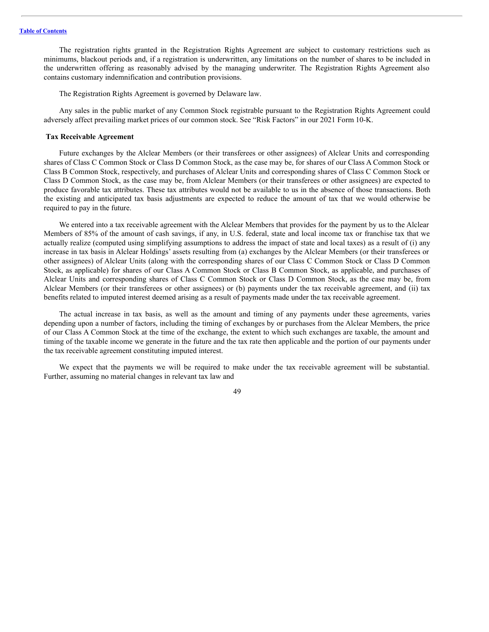The registration rights granted in the Registration Rights Agreement are subject to customary restrictions such as minimums, blackout periods and, if a registration is underwritten, any limitations on the number of shares to be included in the underwritten offering as reasonably advised by the managing underwriter. The Registration Rights Agreement also contains customary indemnification and contribution provisions.

The Registration Rights Agreement is governed by Delaware law.

Any sales in the public market of any Common Stock registrable pursuant to the Registration Rights Agreement could adversely affect prevailing market prices of our common stock. See "Risk Factors" in our 2021 Form 10-K.

#### <span id="page-53-0"></span>**Tax Receivable Agreement**

Future exchanges by the Alclear Members (or their transferees or other assignees) of Alclear Units and corresponding shares of Class C Common Stock or Class D Common Stock, as the case may be, for shares of our Class A Common Stock or Class B Common Stock, respectively, and purchases of Alclear Units and corresponding shares of Class C Common Stock or Class D Common Stock, as the case may be, from Alclear Members (or their transferees or other assignees) are expected to produce favorable tax attributes. These tax attributes would not be available to us in the absence of those transactions. Both the existing and anticipated tax basis adjustments are expected to reduce the amount of tax that we would otherwise be required to pay in the future.

We entered into a tax receivable agreement with the Alclear Members that provides for the payment by us to the Alclear Members of 85% of the amount of cash savings, if any, in U.S. federal, state and local income tax or franchise tax that we actually realize (computed using simplifying assumptions to address the impact of state and local taxes) as a result of (i) any increase in tax basis in Alclear Holdings' assets resulting from (a) exchanges by the Alclear Members (or their transferees or other assignees) of Alclear Units (along with the corresponding shares of our Class C Common Stock or Class D Common Stock, as applicable) for shares of our Class A Common Stock or Class B Common Stock, as applicable, and purchases of Alclear Units and corresponding shares of Class C Common Stock or Class D Common Stock, as the case may be, from Alclear Members (or their transferees or other assignees) or (b) payments under the tax receivable agreement, and (ii) tax benefits related to imputed interest deemed arising as a result of payments made under the tax receivable agreement.

The actual increase in tax basis, as well as the amount and timing of any payments under these agreements, varies depending upon a number of factors, including the timing of exchanges by or purchases from the Alclear Members, the price of our Class A Common Stock at the time of the exchange, the extent to which such exchanges are taxable, the amount and timing of the taxable income we generate in the future and the tax rate then applicable and the portion of our payments under the tax receivable agreement constituting imputed interest.

We expect that the payments we will be required to make under the tax receivable agreement will be substantial. Further, assuming no material changes in relevant tax law and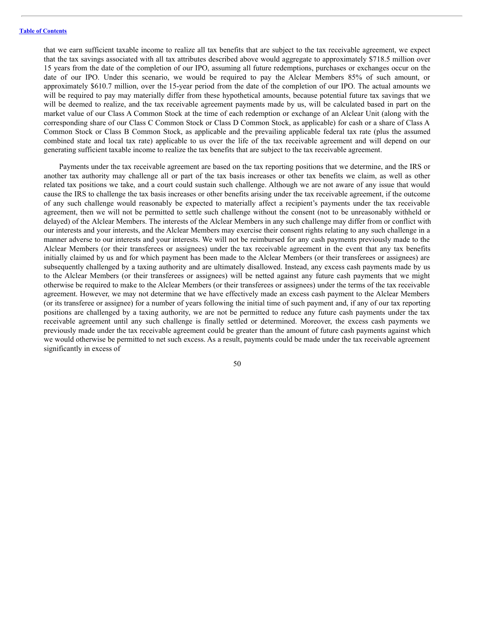that we earn sufficient taxable income to realize all tax benefits that are subject to the tax receivable agreement, we expect that the tax savings associated with all tax attributes described above would aggregate to approximately \$718.5 million over 15 years from the date of the completion of our IPO, assuming all future redemptions, purchases or exchanges occur on the date of our IPO. Under this scenario, we would be required to pay the Alclear Members 85% of such amount, or approximately \$610.7 million, over the 15-year period from the date of the completion of our IPO. The actual amounts we will be required to pay may materially differ from these hypothetical amounts, because potential future tax savings that we will be deemed to realize, and the tax receivable agreement payments made by us, will be calculated based in part on the market value of our Class A Common Stock at the time of each redemption or exchange of an Alclear Unit (along with the corresponding share of our Class C Common Stock or Class D Common Stock, as applicable) for cash or a share of Class A Common Stock or Class B Common Stock, as applicable and the prevailing applicable federal tax rate (plus the assumed combined state and local tax rate) applicable to us over the life of the tax receivable agreement and will depend on our generating sufficient taxable income to realize the tax benefits that are subject to the tax receivable agreement.

Payments under the tax receivable agreement are based on the tax reporting positions that we determine, and the IRS or another tax authority may challenge all or part of the tax basis increases or other tax benefits we claim, as well as other related tax positions we take, and a court could sustain such challenge. Although we are not aware of any issue that would cause the IRS to challenge the tax basis increases or other benefits arising under the tax receivable agreement, if the outcome of any such challenge would reasonably be expected to materially affect a recipient's payments under the tax receivable agreement, then we will not be permitted to settle such challenge without the consent (not to be unreasonably withheld or delayed) of the Alclear Members. The interests of the Alclear Members in any such challenge may differ from or conflict with our interests and your interests, and the Alclear Members may exercise their consent rights relating to any such challenge in a manner adverse to our interests and your interests. We will not be reimbursed for any cash payments previously made to the Alclear Members (or their transferees or assignees) under the tax receivable agreement in the event that any tax benefits initially claimed by us and for which payment has been made to the Alclear Members (or their transferees or assignees) are subsequently challenged by a taxing authority and are ultimately disallowed. Instead, any excess cash payments made by us to the Alclear Members (or their transferees or assignees) will be netted against any future cash payments that we might otherwise be required to make to the Alclear Members (or their transferees or assignees) under the terms of the tax receivable agreement. However, we may not determine that we have effectively made an excess cash payment to the Alclear Members (or its transferee or assignee) for a number of years following the initial time of such payment and, if any of our tax reporting positions are challenged by a taxing authority, we are not be permitted to reduce any future cash payments under the tax receivable agreement until any such challenge is finally settled or determined. Moreover, the excess cash payments we previously made under the tax receivable agreement could be greater than the amount of future cash payments against which we would otherwise be permitted to net such excess. As a result, payments could be made under the tax receivable agreement significantly in excess of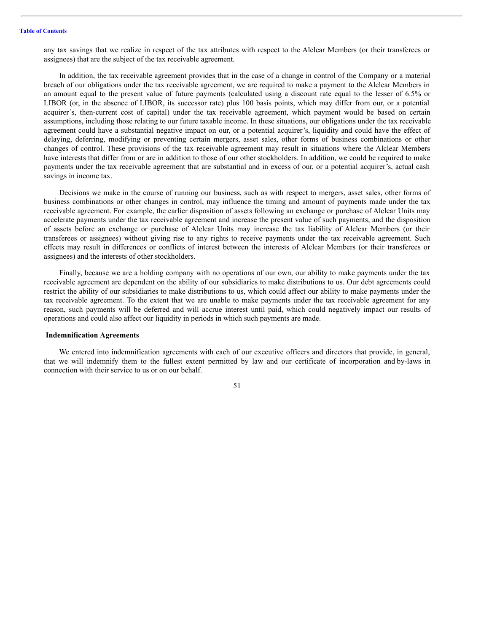any tax savings that we realize in respect of the tax attributes with respect to the Alclear Members (or their transferees or assignees) that are the subject of the tax receivable agreement.

In addition, the tax receivable agreement provides that in the case of a change in control of the Company or a material breach of our obligations under the tax receivable agreement, we are required to make a payment to the Alclear Members in an amount equal to the present value of future payments (calculated using a discount rate equal to the lesser of 6.5% or LIBOR (or, in the absence of LIBOR, its successor rate) plus 100 basis points, which may differ from our, or a potential acquirer's, then-current cost of capital) under the tax receivable agreement, which payment would be based on certain assumptions, including those relating to our future taxable income. In these situations, our obligations under the tax receivable agreement could have a substantial negative impact on our, or a potential acquirer's, liquidity and could have the effect of delaying, deferring, modifying or preventing certain mergers, asset sales, other forms of business combinations or other changes of control. These provisions of the tax receivable agreement may result in situations where the Alclear Members have interests that differ from or are in addition to those of our other stockholders. In addition, we could be required to make payments under the tax receivable agreement that are substantial and in excess of our, or a potential acquirer's, actual cash savings in income tax.

Decisions we make in the course of running our business, such as with respect to mergers, asset sales, other forms of business combinations or other changes in control, may influence the timing and amount of payments made under the tax receivable agreement. For example, the earlier disposition of assets following an exchange or purchase of Alclear Units may accelerate payments under the tax receivable agreement and increase the present value of such payments, and the disposition of assets before an exchange or purchase of Alclear Units may increase the tax liability of Alclear Members (or their transferees or assignees) without giving rise to any rights to receive payments under the tax receivable agreement. Such effects may result in differences or conflicts of interest between the interests of Alclear Members (or their transferees or assignees) and the interests of other stockholders.

Finally, because we are a holding company with no operations of our own, our ability to make payments under the tax receivable agreement are dependent on the ability of our subsidiaries to make distributions to us. Our debt agreements could restrict the ability of our subsidiaries to make distributions to us, which could affect our ability to make payments under the tax receivable agreement. To the extent that we are unable to make payments under the tax receivable agreement for any reason, such payments will be deferred and will accrue interest until paid, which could negatively impact our results of operations and could also affect our liquidity in periods in which such payments are made.

#### <span id="page-55-0"></span>**Indemnification Agreements**

We entered into indemnification agreements with each of our executive officers and directors that provide, in general, that we will indemnify them to the fullest extent permitted by law and our certificate of incorporation and by-laws in connection with their service to us or on our behalf.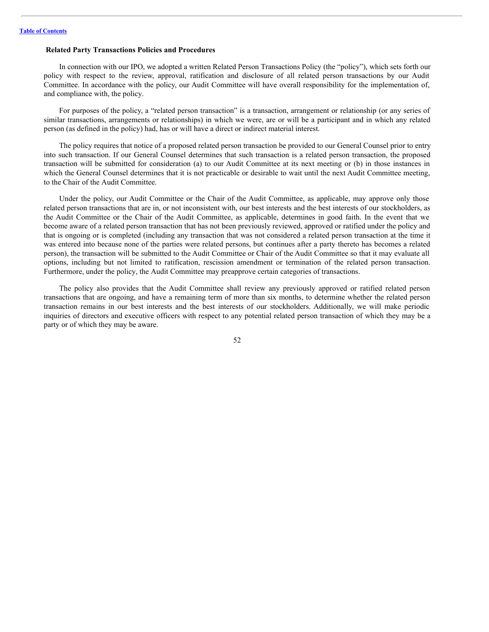#### <span id="page-56-0"></span>**Related Party Transactions Policies and Procedures**

In connection with our IPO, we adopted a written Related Person Transactions Policy (the "policy"), which sets forth our policy with respect to the review, approval, ratification and disclosure of all related person transactions by our Audit Committee. In accordance with the policy, our Audit Committee will have overall responsibility for the implementation of, and compliance with, the policy.

For purposes of the policy, a "related person transaction" is a transaction, arrangement or relationship (or any series of similar transactions, arrangements or relationships) in which we were, are or will be a participant and in which any related person (as defined in the policy) had, has or will have a direct or indirect material interest.

The policy requires that notice of a proposed related person transaction be provided to our General Counsel prior to entry into such transaction. If our General Counsel determines that such transaction is a related person transaction, the proposed transaction will be submitted for consideration (a) to our Audit Committee at its next meeting or (b) in those instances in which the General Counsel determines that it is not practicable or desirable to wait until the next Audit Committee meeting, to the Chair of the Audit Committee.

Under the policy, our Audit Committee or the Chair of the Audit Committee, as applicable, may approve only those related person transactions that are in, or not inconsistent with, our best interests and the best interests of our stockholders, as the Audit Committee or the Chair of the Audit Committee, as applicable, determines in good faith. In the event that we become aware of a related person transaction that has not been previously reviewed, approved or ratified under the policy and that is ongoing or is completed (including any transaction that was not considered a related person transaction at the time it was entered into because none of the parties were related persons, but continues after a party thereto has becomes a related person), the transaction will be submitted to the Audit Committee or Chair of the Audit Committee so that it may evaluate all options, including but not limited to ratification, rescission amendment or termination of the related person transaction. Furthermore, under the policy, the Audit Committee may preapprove certain categories of transactions.

The policy also provides that the Audit Committee shall review any previously approved or ratified related person transactions that are ongoing, and have a remaining term of more than six months, to determine whether the related person transaction remains in our best interests and the best interests of our stockholders. Additionally, we will make periodic inquiries of directors and executive officers with respect to any potential related person transaction of which they may be a party or of which they may be aware.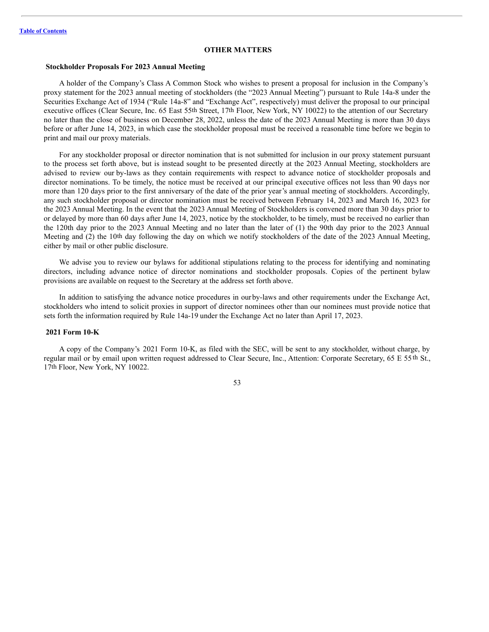# <span id="page-57-0"></span>**OTHER MATTERS**

#### <span id="page-57-1"></span>**Stockholder Proposals For 2023 Annual Meeting**

A holder of the Company's Class A Common Stock who wishes to present a proposal for inclusion in the Company's proxy statement for the 2023 annual meeting of stockholders (the "2023 Annual Meeting") pursuant to Rule 14a-8 under the Securities Exchange Act of 1934 ("Rule 14a-8" and "Exchange Act", respectively) must deliver the proposal to our principal executive offices (Clear Secure, Inc. 65 East 55th Street, 17th Floor, New York, NY 10022) to the attention of our Secretary no later than the close of business on December 28, 2022, unless the date of the 2023 Annual Meeting is more than 30 days before or after June 14, 2023, in which case the stockholder proposal must be received a reasonable time before we begin to print and mail our proxy materials.

For any stockholder proposal or director nomination that is not submitted for inclusion in our proxy statement pursuant to the process set forth above, but is instead sought to be presented directly at the 2023 Annual Meeting, stockholders are advised to review our by-laws as they contain requirements with respect to advance notice of stockholder proposals and director nominations. To be timely, the notice must be received at our principal executive offices not less than 90 days nor more than 120 days prior to the first anniversary of the date of the prior year's annual meeting of stockholders. Accordingly, any such stockholder proposal or director nomination must be received between February 14, 2023 and March 16, 2023 for the 2023 Annual Meeting. In the event that the 2023 Annual Meeting of Stockholders is convened more than 30 days prior to or delayed by more than 60 days after June 14, 2023, notice by the stockholder, to be timely, must be received no earlier than the 120th day prior to the 2023 Annual Meeting and no later than the later of (1) the 90th day prior to the 2023 Annual Meeting and (2) the 10th day following the day on which we notify stockholders of the date of the 2023 Annual Meeting, either by mail or other public disclosure.

We advise you to review our bylaws for additional stipulations relating to the process for identifying and nominating directors, including advance notice of director nominations and stockholder proposals. Copies of the pertinent bylaw provisions are available on request to the Secretary at the address set forth above.

In addition to satisfying the advance notice procedures in ourby-laws and other requirements under the Exchange Act, stockholders who intend to solicit proxies in support of director nominees other than our nominees must provide notice that sets forth the information required by Rule 14a-19 under the Exchange Act no later than April 17, 2023.

#### <span id="page-57-2"></span>**2021 Form 10-K**

A copy of the Company's 2021 Form 10-K, as filed with the SEC, will be sent to any stockholder, without charge, by regular mail or by email upon written request addressed to Clear Secure, Inc., Attention: Corporate Secretary, 65 E 55 th St., 17th Floor, New York, NY 10022.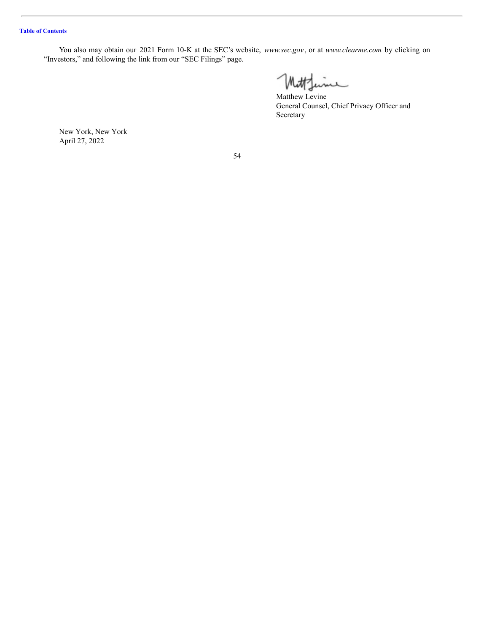You also may obtain our 2021 Form 10-K at the SEC's website, *www.sec.gov*, or at *www.clearme.com* by clicking on "Investors," and following the link from our "SEC Filings" page.

Mutt me

Matthew Levine General Counsel, Chief Privacy Officer and Secretary

New York, New York April 27, 2022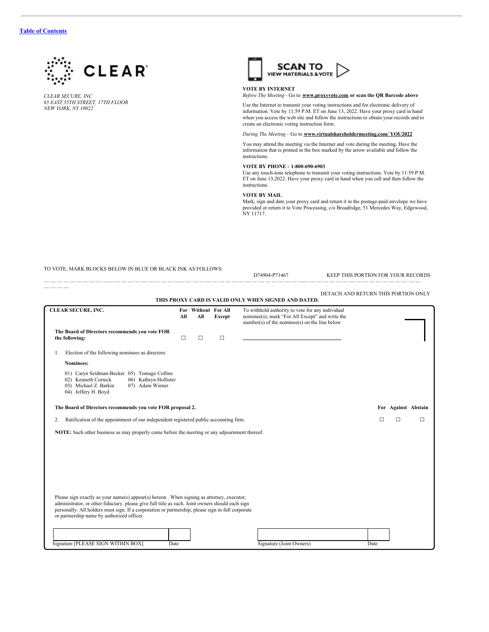

*CLEAR SECURE, INC 65 EAST 55TH STREET, 17TH FLOOR NEW YORK, NY 10022*



#### **VOTE BY INTERNET**

*Before The Meeting* - Go to **www.proxyvote.com or scan the QR Barcode above**

Use the Internet to transmit your voting instructions and for electronic delivery of information. Vote by 11:59 P.M. ET on June 13, 2022. Have your proxy card in hand when you access the web site and follow the instructions to obtain your records and to create an electronic voting instruction form.

#### *During The Meeting -* Go to **www.virtualshareholdermeeting.com/ YOU2022**

You may attend the meeting via the Internet and vote during the meeting. Have the information that is printed in the box marked by the arrow available and follow the instructions.

#### **VOTE BY PHONE - 1-800-690-6903**

Use any touch-tone telephone to transmit your voting instructions. Vote by 11:59 P.M. ET on June 13,2022. Have your proxy card in hand when you call and then follow the instructions.

#### **VOTE BY MAIL**

Mark, sign and date your proxy card and return it in the postage-paid envelope we have provided or return it to Vote Processing, c/o Broadridge, 51 Mercedes Way, Edgewood, NY 11717.

D74904-P71467 KEEP THIS PORTION FOR YOUR RECORDS

#### TO VOTE, MARK BLOCKS BELOW IN BLUE OR BLACK INK AS FOLLOWS:

| DETACH AND RETURN THIS PORTION ONLY<br>THIS PROXY CARD IS VALID ONLY WHEN SIGNED AND DATED.                                                                                                                                                                                                                                                      |     |                            |        |                                                                                                                                                      |      |                          |   |
|--------------------------------------------------------------------------------------------------------------------------------------------------------------------------------------------------------------------------------------------------------------------------------------------------------------------------------------------------|-----|----------------------------|--------|------------------------------------------------------------------------------------------------------------------------------------------------------|------|--------------------------|---|
| <b>CLEAR SECURE, INC.</b>                                                                                                                                                                                                                                                                                                                        | All | For Without For All<br>All | Except | To withhold authority to vote for any individual<br>nominee(s), mark "For All Except" and write the<br>number(s) of the nominee(s) on the line below |      |                          |   |
| The Board of Directors recommends you vote FOR<br>the following:                                                                                                                                                                                                                                                                                 | □   | □                          | □      |                                                                                                                                                      |      |                          |   |
| Election of the following nominees as directors:<br>1.<br><b>Nominees:</b><br>01) Caryn Seidman-Becker 05) Tomago Collins<br>02) Kenneth Cornick<br>06) Kathryn Hollister<br>03) Michael Z. Barkin<br>07) Adam Wiener                                                                                                                            |     |                            |        |                                                                                                                                                      |      |                          |   |
| 04) Jeffery H. Boyd<br>The Board of Directors recommends you vote FOR proposal 2.<br>Ratification of the appointment of our independent registered public accounting firm.<br>2.                                                                                                                                                                 |     |                            |        |                                                                                                                                                      | П    | For Against Abstain<br>П | п |
| <b>NOTE:</b> Such other business as may properly come before the meeting or any adjournment thereof.                                                                                                                                                                                                                                             |     |                            |        |                                                                                                                                                      |      |                          |   |
|                                                                                                                                                                                                                                                                                                                                                  |     |                            |        |                                                                                                                                                      |      |                          |   |
| Please sign exactly as your name(s) appear(s) hereon. When signing as attorney, executor,<br>administrator, or other fiduciary, please give full title as such. Joint owners should each sign<br>personally. All holders must sign. If a corporation or partnership, please sign in full corporate<br>or partnership name by authorized officer. |     |                            |        |                                                                                                                                                      |      |                          |   |
| Signature [PLEASE SIGN WITHIN BOX]<br>Date                                                                                                                                                                                                                                                                                                       |     |                            |        | Signature (Joint Owners)                                                                                                                             | Date |                          |   |